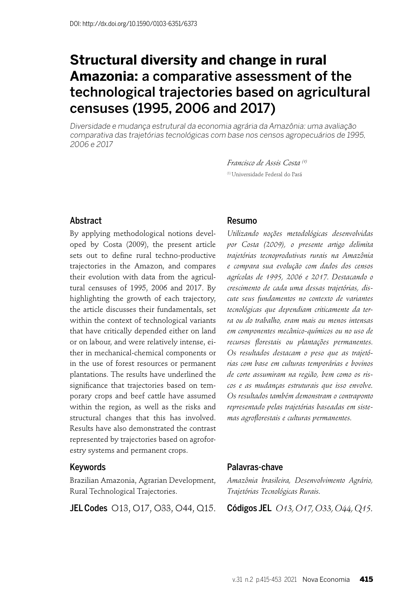# **Structural diversity and change in rural Amazonia:** a comparative assessment of the technological trajectories based on agricultural censuses (1995, 2006 and 2017)

Diversidade e mudança estrutural da economia agrária da Amazônia: uma avaliação comparativa das trajetórias tecnológicas com base nos censos agropecuários de 1995, 2006 e 2017

> *Francisco de Assis Costa (1)* (1) Universidade Federal do Pará

#### Abstract

By applying methodological notions developed by Costa (2009), the present article sets out to define rural techno-productive trajectories in the Amazon, and compares their evolution with data from the agricultural censuses of 1995, 2006 and 2017. By highlighting the growth of each trajectory, the article discusses their fundamentals, set within the context of technological variants that have critically depended either on land or on labour, and were relatively intense, either in mechanical-chemical components or in the use of forest resources or permanent plantations. The results have underlined the significance that trajectories based on temporary crops and beef cattle have assumed within the region, as well as the risks and structural changes that this has involved. Results have also demonstrated the contrast represented by trajectories based on agroforestry systems and permanent crops.

#### Keywords

Brazilian Amazonia, Agrarian Development, Rural Technological Trajectories.

**JEL Codes** O13, O17, O33, O44, Q15.

#### Resumo

*Utilizando noções metodológicas desenvolvidas por Costa (2009), o presente artigo delimita trajetórias tecnoprodutivas rurais na Amazônia e compara sua evolução com dados dos censos agrícolas de 1995, 2006 e 2017. Destacando o crescimento de cada uma dessas trajetórias, discute seus fundamentos no contexto de variantes tecnológicas que dependiam criticamente da terra ou do trabalho, eram mais ou menos intensas em componentes mecânico-químicos ou no uso de*  recursos florestais ou plantações permanentes. *Os resultados destacam o peso que as trajetórias com base em culturas temporárias e bovinos de corte assumiram na região, bem como os riscos e as mudanças estruturais que isso envolve. Os resultados também demonstram o contraponto representado pelas trajetórias baseadas em sistemas agrofl orestais e culturas permanentes.*

#### Palavras-chave

*Amazônia brasileira, Desenvolvimento Agrário, Trajetórias Tecnológicas Rurais.*

Códigos JEL *O13, O17, O33, O44, Q15.*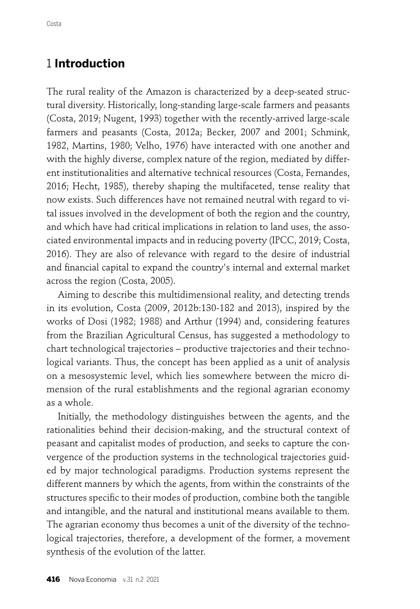# 1 **Introduction**

The rural reality of the Amazon is characterized by a deep-seated structural diversity. Historically, long-standing large-scale farmers and peasants (Costa, 2019; Nugent, 1993) together with the recently-arrived large-scale farmers and peasants (Costa, 2012a; Becker, 2007 and 2001; Schmink, 1982, Martins, 1980; Velho, 1976) have interacted with one another and with the highly diverse, complex nature of the region, mediated by different institutionalities and alternative technical resources (Costa, Fernandes, 2016; Hecht, 1985), thereby shaping the multifaceted, tense reality that now exists. Such differences have not remained neutral with regard to vital issues involved in the development of both the region and the country, and which have had critical implications in relation to land uses, the associated environmental impacts and in reducing poverty (IPCC, 2019; Costa, 2016). They are also of relevance with regard to the desire of industrial and financial capital to expand the country's internal and external market across the region (Costa, 2005).

Aiming to describe this multidimensional reality, and detecting trends in its evolution, Costa (2009, 2012b:130-182 and 2013), inspired by the works of Dosi (1982; 1988) and Arthur (1994) and, considering features from the Brazilian Agricultural Census, has suggested a methodology to chart technological trajectories – productive trajectories and their technological variants. Thus, the concept has been applied as a unit of analysis on a mesosystemic level, which lies somewhere between the micro dimension of the rural establishments and the regional agrarian economy as a whole.

Initially, the methodology distinguishes between the agents, and the rationalities behind their decision-making, and the structural context of peasant and capitalist modes of production, and seeks to capture the convergence of the production systems in the technological trajectories guided by major technological paradigms. Production systems represent the different manners by which the agents, from within the constraints of the structures specific to their modes of production, combine both the tangible and intangible, and the natural and institutional means available to them. The agrarian economy thus becomes a unit of the diversity of the technological trajectories, therefore, a development of the former, a movement synthesis of the evolution of the latter.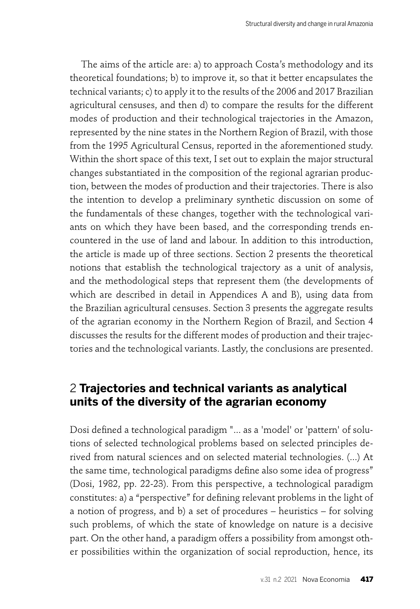The aims of the article are: a) to approach Costa's methodology and its theoretical foundations; b) to improve it, so that it better encapsulates the technical variants; c) to apply it to the results of the 2006 and 2017 Brazilian agricultural censuses, and then d) to compare the results for the different modes of production and their technological trajectories in the Amazon, represented by the nine states in the Northern Region of Brazil, with those from the 1995 Agricultural Census, reported in the aforementioned study. Within the short space of this text, I set out to explain the major structural changes substantiated in the composition of the regional agrarian production, between the modes of production and their trajectories. There is also the intention to develop a preliminary synthetic discussion on some of the fundamentals of these changes, together with the technological variants on which they have been based, and the corresponding trends encountered in the use of land and labour. In addition to this introduction, the article is made up of three sections. Section 2 presents the theoretical notions that establish the technological trajectory as a unit of analysis, and the methodological steps that represent them (the developments of which are described in detail in Appendices A and B), using data from the Brazilian agricultural censuses. Section 3 presents the aggregate results of the agrarian economy in the Northern Region of Brazil, and Section 4 discusses the results for the different modes of production and their trajectories and the technological variants. Lastly, the conclusions are presented.

## 2 **Trajectories and technical variants as analytical units of the diversity of the agrarian economy**

Dosi defined a technological paradigm "... as a 'model' or 'pattern' of solutions of selected technological problems based on selected principles derived from natural sciences and on selected material technologies. (...) At the same time, technological paradigms define also some idea of progress" (Dosi, 1982, pp. 22-23). From this perspective, a technological paradigm constitutes: a) a "perspective" for defining relevant problems in the light of a notion of progress, and b) a set of procedures – heuristics – for solving such problems, of which the state of knowledge on nature is a decisive part. On the other hand, a paradigm offers a possibility from amongst other possibilities within the organization of social reproduction, hence, its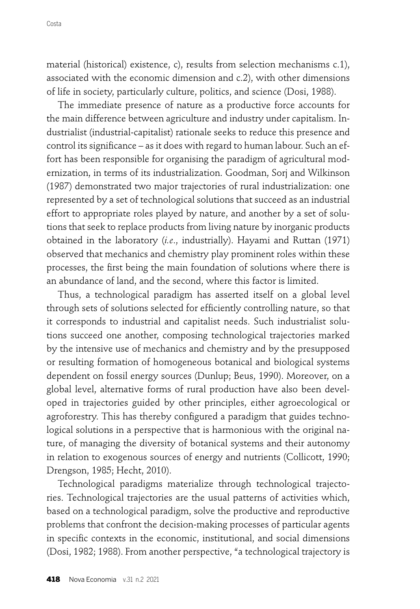material (historical) existence, c), results from selection mechanisms c.1), associated with the economic dimension and c.2), with other dimensions of life in society, particularly culture, politics, and science (Dosi, 1988).

The immediate presence of nature as a productive force accounts for the main difference between agriculture and industry under capitalism. Industrialist (industrial-capitalist) rationale seeks to reduce this presence and control its significance – as it does with regard to human labour. Such an effort has been responsible for organising the paradigm of agricultural modernization, in terms of its industrialization. Goodman, Sorj and Wilkinson (1987) demonstrated two major trajectories of rural industrialization: one represented by a set of technological solutions that succeed as an industrial effort to appropriate roles played by nature, and another by a set of solutions that seek to replace products from living nature by inorganic products obtained in the laboratory (*i.e*., industrially). Hayami and Ruttan (1971) observed that mechanics and chemistry play prominent roles within these processes, the first being the main foundation of solutions where there is an abundance of land, and the second, where this factor is limited.

Thus, a technological paradigm has asserted itself on a global level through sets of solutions selected for efficiently controlling nature, so that it corresponds to industrial and capitalist needs. Such industrialist solutions succeed one another, composing technological trajectories marked by the intensive use of mechanics and chemistry and by the presupposed or resulting formation of homogeneous botanical and biological systems dependent on fossil energy sources (Dunlup; Beus, 1990). Moreover, on a global level, alternative forms of rural production have also been developed in trajectories guided by other principles, either agroecological or agroforestry. This has thereby configured a paradigm that guides technological solutions in a perspective that is harmonious with the original nature, of managing the diversity of botanical systems and their autonomy in relation to exogenous sources of energy and nutrients (Collicott, 1990; Drengson, 1985; Hecht, 2010).

Technological paradigms materialize through technological trajectories. Technological trajectories are the usual patterns of activities which, based on a technological paradigm, solve the productive and reproductive problems that confront the decision-making processes of particular agents in specific contexts in the economic, institutional, and social dimensions (Dosi, 1982; 1988). From another perspective, "a technological trajectory is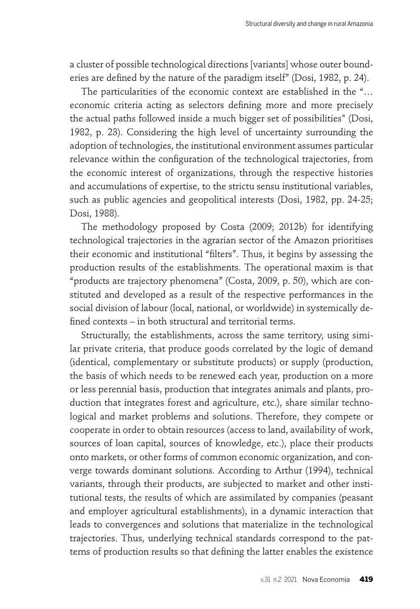a cluster of possible technological directions [variants] whose outer bounderies are defined by the nature of the paradigm itself" (Dosi, 1982, p. 24).

The particularities of the economic context are established in the "… economic criteria acting as selectors defining more and more precisely the actual paths followed inside a much bigger set of possibilities" (Dosi, 1982, p. 23). Considering the high level of uncertainty surrounding the adoption of technologies, the institutional environment assumes particular relevance within the configuration of the technological trajectories, from the economic interest of organizations, through the respective histories and accumulations of expertise, to the strictu sensu institutional variables, such as public agencies and geopolitical interests (Dosi, 1982, pp. 24-25; Dosi, 1988).

The methodology proposed by Costa (2009; 2012b) for identifying technological trajectories in the agrarian sector of the Amazon prioritises their economic and institutional "filters". Thus, it begins by assessing the production results of the establishments. The operational maxim is that "products are trajectory phenomena" (Costa, 2009, p. 50), which are constituted and developed as a result of the respective performances in the social division of labour (local, national, or worldwide) in systemically defined contexts  $-$  in both structural and territorial terms.

Structurally, the establishments, across the same territory, using similar private criteria, that produce goods correlated by the logic of demand (identical, complementary or substitute products) or supply (production, the basis of which needs to be renewed each year, production on a more or less perennial basis, production that integrates animals and plants, production that integrates forest and agriculture, etc.), share similar technological and market problems and solutions. Therefore, they compete or cooperate in order to obtain resources (access to land, availability of work, sources of loan capital, sources of knowledge, etc.), place their products onto markets, or other forms of common economic organization, and converge towards dominant solutions. According to Arthur (1994), technical variants, through their products, are subjected to market and other institutional tests, the results of which are assimilated by companies (peasant and employer agricultural establishments), in a dynamic interaction that leads to convergences and solutions that materialize in the technological trajectories. Thus, underlying technical standards correspond to the patterns of production results so that defining the latter enables the existence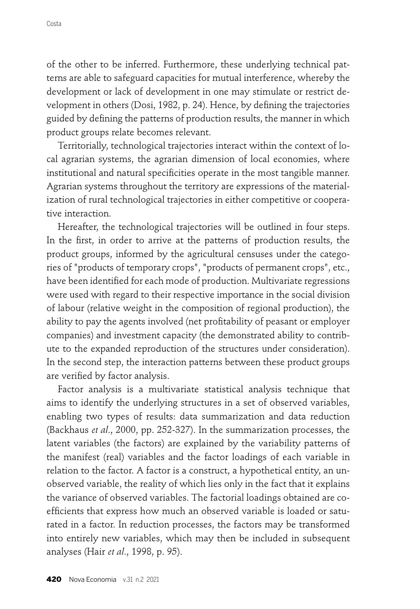of the other to be inferred. Furthermore, these underlying technical patterns are able to safeguard capacities for mutual interference, whereby the development or lack of development in one may stimulate or restrict development in others (Dosi, 1982, p. 24). Hence, by defining the trajectories guided by defining the patterns of production results, the manner in which product groups relate becomes relevant.

Territorially, technological trajectories interact within the context of local agrarian systems, the agrarian dimension of local economies, where institutional and natural specificities operate in the most tangible manner. Agrarian systems throughout the territory are expressions of the materialization of rural technological trajectories in either competitive or cooperative interaction.

Hereafter, the technological trajectories will be outlined in four steps. In the first, in order to arrive at the patterns of production results, the product groups, informed by the agricultural censuses under the categories of "products of temporary crops", "products of permanent crops", etc., have been identified for each mode of production. Multivariate regressions were used with regard to their respective importance in the social division of labour (relative weight in the composition of regional production), the ability to pay the agents involved (net profitability of peasant or employer companies) and investment capacity (the demonstrated ability to contribute to the expanded reproduction of the structures under consideration). In the second step, the interaction patterns between these product groups are verified by factor analysis.

Factor analysis is a multivariate statistical analysis technique that aims to identify the underlying structures in a set of observed variables, enabling two types of results: data summarization and data reduction (Backhaus *et al*., 2000, pp. 252-327). In the summarization processes, the latent variables (the factors) are explained by the variability patterns of the manifest (real) variables and the factor loadings of each variable in relation to the factor. A factor is a construct, a hypothetical entity, an unobserved variable, the reality of which lies only in the fact that it explains the variance of observed variables. The factorial loadings obtained are coefficients that express how much an observed variable is loaded or saturated in a factor. In reduction processes, the factors may be transformed into entirely new variables, which may then be included in subsequent analyses (Hair *et al*., 1998, p. 95).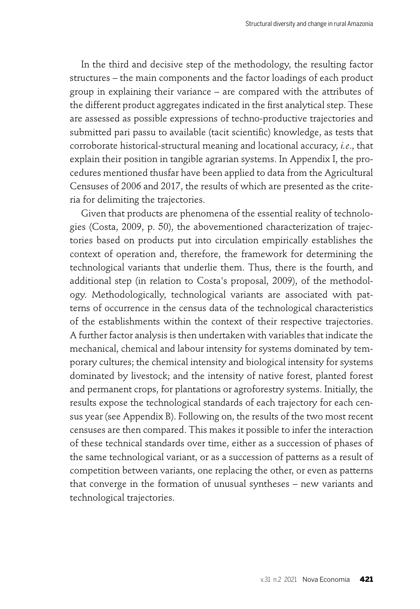In the third and decisive step of the methodology, the resulting factor structures – the main components and the factor loadings of each product group in explaining their variance – are compared with the attributes of the different product aggregates indicated in the first analytical step. These are assessed as possible expressions of techno-productive trajectories and submitted pari passu to available (tacit scientific) knowledge, as tests that corroborate historical-structural meaning and locational accuracy, *i.e*., that explain their position in tangible agrarian systems. In Appendix I, the procedures mentioned thusfar have been applied to data from the Agricultural Censuses of 2006 and 2017, the results of which are presented as the criteria for delimiting the trajectories.

Given that products are phenomena of the essential reality of technologies (Costa, 2009, p. 50), the abovementioned characterization of trajectories based on products put into circulation empirically establishes the context of operation and, therefore, the framework for determining the technological variants that underlie them. Thus, there is the fourth, and additional step (in relation to Costa's proposal, 2009), of the methodology. Methodologically, technological variants are associated with patterns of occurrence in the census data of the technological characteristics of the establishments within the context of their respective trajectories. A further factor analysis is then undertaken with variables that indicate the mechanical, chemical and labour intensity for systems dominated by temporary cultures; the chemical intensity and biological intensity for systems dominated by livestock; and the intensity of native forest, planted forest and permanent crops, for plantations or agroforestry systems. Initially, the results expose the technological standards of each trajectory for each census year (see Appendix B). Following on, the results of the two most recent censuses are then compared. This makes it possible to infer the interaction of these technical standards over time, either as a succession of phases of the same technological variant, or as a succession of patterns as a result of competition between variants, one replacing the other, or even as patterns that converge in the formation of unusual syntheses – new variants and technological trajectories.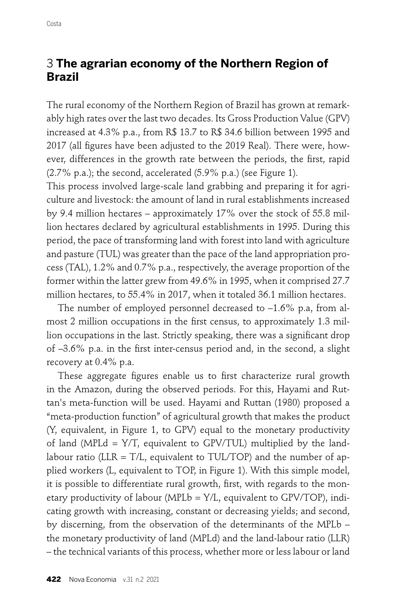## 3 **The agrarian economy of the Northern Region of Brazil**

The rural economy of the Northern Region of Brazil has grown at remarkably high rates over the last two decades. Its Gross Production Value (GPV) increased at 4.3% p.a., from R\$ 13.7 to R\$ 34.6 billion between 1995 and 2017 (all figures have been adjusted to the 2019 Real). There were, however, differences in the growth rate between the periods, the first, rapid (2.7% p.a.); the second, accelerated (5.9% p.a.) (see Figure 1).

This process involved large-scale land grabbing and preparing it for agriculture and livestock: the amount of land in rural establishments increased by 9.4 million hectares – approximately 17% over the stock of 55.8 million hectares declared by agricultural establishments in 1995. During this period, the pace of transforming land with forest into land with agriculture and pasture (TUL) was greater than the pace of the land appropriation process (TAL), 1.2% and 0.7% p.a., respectively, the average proportion of the former within the latter grew from 49.6% in 1995, when it comprised 27.7 million hectares, to 55.4% in 2017, when it totaled 36.1 million hectares.

The number of employed personnel decreased to –1.6% p.a, from almost 2 million occupations in the first census, to approximately 1.3 million occupations in the last. Strictly speaking, there was a significant drop of  $-3.6\%$  p.a. in the first inter-census period and, in the second, a slight recovery at 0.4% p.a.

These aggregate figures enable us to first characterize rural growth in the Amazon, during the observed periods. For this, Hayami and Ruttan's meta-function will be used. Hayami and Ruttan (1980) proposed a "meta-production function" of agricultural growth that makes the product (Y, equivalent, in Figure 1, to GPV) equal to the monetary productivity of land (MPL $d = Y/T$ , equivalent to GPV/TUL) multiplied by the landlabour ratio (LLR =  $T/L$ , equivalent to TUL/TOP) and the number of applied workers (L, equivalent to TOP, in Figure 1). With this simple model, it is possible to differentiate rural growth, first, with regards to the monetary productivity of labour (MPLb =  $Y/L$ , equivalent to GPV/TOP), indicating growth with increasing, constant or decreasing yields; and second, by discerning, from the observation of the determinants of the MPLb – the monetary productivity of land (MPLd) and the land-labour ratio (LLR) – the technical variants of this process, whether more or less labour or land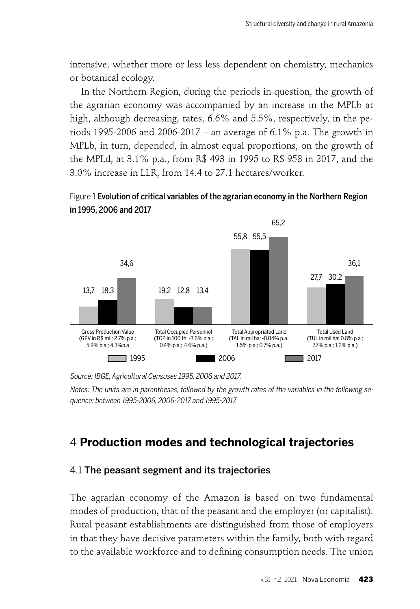intensive, whether more or less less dependent on chemistry, mechanics or botanical ecology.

In the Northern Region, during the periods in question, the growth of the agrarian economy was accompanied by an increase in the MPLb at high, although decreasing, rates, 6.6% and 5.5%, respectively, in the periods 1995-2006 and 2006-2017 – an average of 6.1% p.a. The growth in MPLb, in turn, depended, in almost equal proportions, on the growth of the MPLd, at 3.1% p.a., from R\$ 493 in 1995 to R\$ 958 in 2017, and the 3.0% increase in LLR, from 14.4 to 27.1 hectares/worker.

#### Figure 1 Evolution of critical variables of the agrarian economy in the Northern Region in 1995, 2006 and 2017



Source: IBGE, Agricultural Censuses 1995, 2006 and 2017.

Notes: The units are in parentheses, followed by the growth rates of the variables in the following sequence: between 1995-2006, 2006-2017 and 1995-2017.

# 4 **Production modes and technological trajectories**

#### 4.1 The peasant segment and its trajectories

The agrarian economy of the Amazon is based on two fundamental modes of production, that of the peasant and the employer (or capitalist). Rural peasant establishments are distinguished from those of employers in that they have decisive parameters within the family, both with regard to the available workforce and to defining consumption needs. The union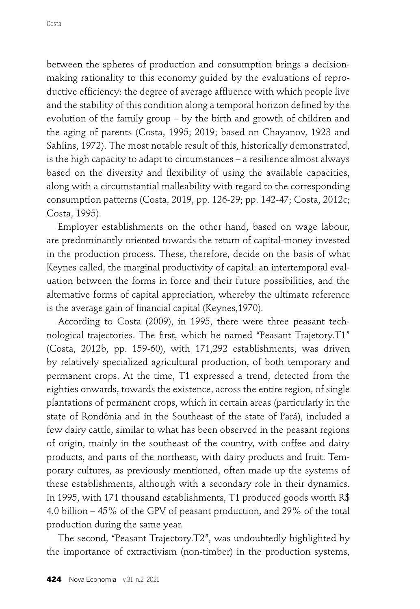between the spheres of production and consumption brings a decisionmaking rationality to this economy guided by the evaluations of reproductive efficiency: the degree of average affluence with which people live and the stability of this condition along a temporal horizon defined by the evolution of the family group – by the birth and growth of children and the aging of parents (Costa, 1995; 2019; based on Chayanov, 1923 and Sahlins, 1972). The most notable result of this, historically demonstrated, is the high capacity to adapt to circumstances – a resilience almost always based on the diversity and flexibility of using the available capacities, along with a circumstantial malleability with regard to the corresponding consumption patterns (Costa, 2019, pp. 126-29; pp. 142-47; Costa, 2012c; Costa, 1995).

Employer establishments on the other hand, based on wage labour, are predominantly oriented towards the return of capital-money invested in the production process. These, therefore, decide on the basis of what Keynes called, the marginal productivity of capital: an intertemporal evaluation between the forms in force and their future possibilities, and the alternative forms of capital appreciation, whereby the ultimate reference is the average gain of financial capital (Keynes, 1970).

According to Costa (2009), in 1995, there were three peasant technological trajectories. The first, which he named "Peasant Trajetory.T1" (Costa, 2012b, pp. 159-60), with 171,292 establishments, was driven by relatively specialized agricultural production, of both temporary and permanent crops. At the time, T1 expressed a trend, detected from the eighties onwards, towards the existence, across the entire region, of single plantations of permanent crops, which in certain areas (particularly in the state of Rondônia and in the Southeast of the state of Pará), included a few dairy cattle, similar to what has been observed in the peasant regions of origin, mainly in the southeast of the country, with coffee and dairy products, and parts of the northeast, with dairy products and fruit. Temporary cultures, as previously mentioned, often made up the systems of these establishments, although with a secondary role in their dynamics. In 1995, with 171 thousand establishments, T1 produced goods worth R\$ 4.0 billion – 45% of the GPV of peasant production, and 29% of the total production during the same year.

The second, "Peasant Trajectory.T2", was undoubtedly highlighted by the importance of extractivism (non-timber) in the production systems,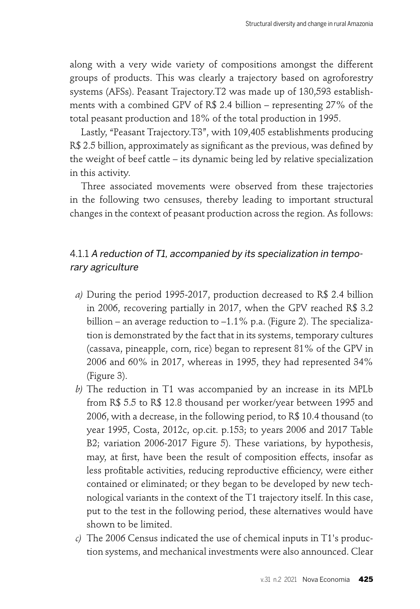along with a very wide variety of compositions amongst the different groups of products. This was clearly a trajectory based on agroforestry systems (AFSs). Peasant Trajectory.T2 was made up of 130,593 establishments with a combined GPV of R\$ 2.4 billion – representing 27% of the total peasant production and 18% of the total production in 1995.

Lastly, "Peasant Trajectory.T3", with 109,405 establishments producing R\$ 2.5 billion, approximately as significant as the previous, was defined by the weight of beef cattle – its dynamic being led by relative specialization in this activity.

Three associated movements were observed from these trajectories in the following two censuses, thereby leading to important structural changes in the context of peasant production across the region. As follows:

### 4.1.1 A reduction of T1, accompanied by its specialization in temporary agriculture

- *a)* During the period 1995-2017, production decreased to R\$ 2.4 billion in 2006, recovering partially in 2017, when the GPV reached R\$ 3.2 billion – an average reduction to –1.1% p.a. (Figure 2). The specialization is demonstrated by the fact that in its systems, temporary cultures (cassava, pineapple, corn, rice) began to represent 81% of the GPV in 2006 and 60% in 2017, whereas in 1995, they had represented 34% (Figure 3).
- *b)* The reduction in T1 was accompanied by an increase in its MPLb from R\$ 5.5 to R\$ 12.8 thousand per worker/year between 1995 and 2006, with a decrease, in the following period, to R\$ 10.4 thousand (to year 1995, Costa, 2012c, op.cit. p.153; to years 2006 and 2017 Table B2; variation 2006-2017 Figure 5). These variations, by hypothesis, may, at first, have been the result of composition effects, insofar as less profitable activities, reducing reproductive efficiency, were either contained or eliminated; or they began to be developed by new technological variants in the context of the T1 trajectory itself. In this case, put to the test in the following period, these alternatives would have shown to be limited.
- *c)* The 2006 Census indicated the use of chemical inputs in T1's production systems, and mechanical investments were also announced. Clear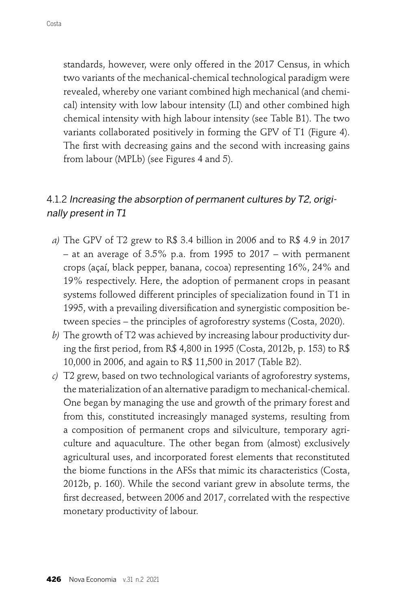standards, however, were only offered in the 2017 Census, in which two variants of the mechanical-chemical technological paradigm were revealed, whereby one variant combined high mechanical (and chemical) intensity with low labour intensity (LI) and other combined high chemical intensity with high labour intensity (see Table B1). The two variants collaborated positively in forming the GPV of T1 (Figure 4). The first with decreasing gains and the second with increasing gains from labour (MPLb) (see Figures 4 and 5).

## 4.1.2 Increasing the absorption of permanent cultures by T2, originally present in T1

- *a)* The GPV of T2 grew to R\$ 3.4 billion in 2006 and to R\$ 4.9 in 2017 – at an average of 3.5% p.a. from 1995 to 2017 – with permanent crops (açaí, black pepper, banana, cocoa) representing 16%, 24% and 19% respectively. Here, the adoption of permanent crops in peasant systems followed different principles of specialization found in T1 in 1995, with a prevailing diversification and synergistic composition between species – the principles of agroforestry systems (Costa, 2020).
- *b)* The growth of T2 was achieved by increasing labour productivity during the first period, from R\$ 4,800 in 1995 (Costa, 2012b, p. 153) to R\$ 10,000 in 2006, and again to R\$ 11,500 in 2017 (Table B2).
- *c)* T2 grew, based on two technological variants of agroforestry systems, the materialization of an alternative paradigm to mechanical-chemical. One began by managing the use and growth of the primary forest and from this, constituted increasingly managed systems, resulting from a composition of permanent crops and silviculture, temporary agriculture and aquaculture. The other began from (almost) exclusively agricultural uses, and incorporated forest elements that reconstituted the biome functions in the AFSs that mimic its characteristics (Costa, 2012b, p. 160). While the second variant grew in absolute terms, the first decreased, between 2006 and 2017, correlated with the respective monetary productivity of labour.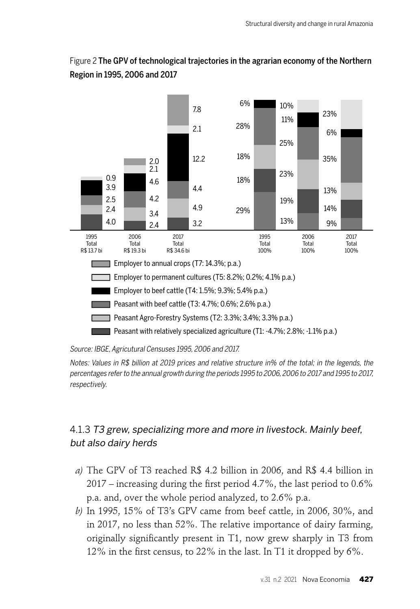

### Figure 2 The GPV of technological trajectories in the agrarian economy of the Northern Region in 1995, 2006 and 2017

Source: IBGE, Agricutural Censuses 1995, 2006 and 2017.

Notes: Values in R\$ billion at 2019 prices and relative structure in% of the total; in the legends, the percentages refer to the annual growth during the periods 1995 to 2006, 2006 to 2017 and 1995 to 2017, respectively.

## 4.1.3 T3 grew, specializing more and more in livestock. Mainly beef, but also dairy herds

- *a)* The GPV of T3 reached R\$ 4.2 billion in 2006, and R\$ 4.4 billion in 2017 – increasing during the first period 4.7%, the last period to  $0.6\%$ p.a. and, over the whole period analyzed, to 2.6% p.a.
- *b)* In 1995, 15% of T3's GPV came from beef cattle, in 2006, 30%, and in 2017, no less than 52%. The relative importance of dairy farming, originally significantly present in  $T1$ , now grew sharply in  $T3$  from 12% in the first census, to 22% in the last. In T1 it dropped by  $6\%$ .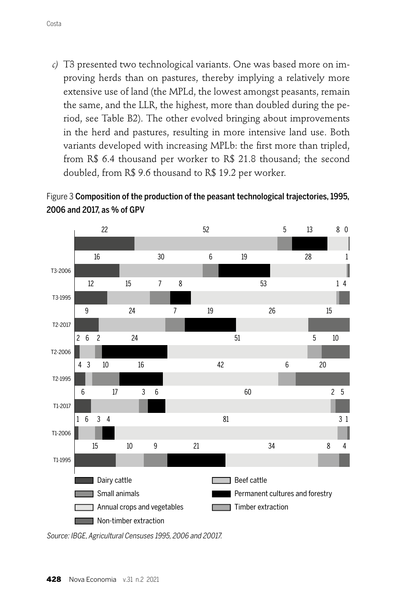*c)* T3 presented two technological variants. One was based more on improving herds than on pastures, thereby implying a relatively more extensive use of land (the MPLd, the lowest amongst peasants, remain the same, and the LLR, the highest, more than doubled during the period, see Table B2). The other evolved bringing about improvements in the herd and pastures, resulting in more intensive land use. Both variants developed with increasing MPLb: the first more than tripled, from R\$ 6.4 thousand per worker to R\$ 21.8 thousand; the second doubled, from R\$ 9.6 thousand to R\$ 19.2 per worker.





Source: IBGE, Agricultural Censuses 1995, 2006 and 20017.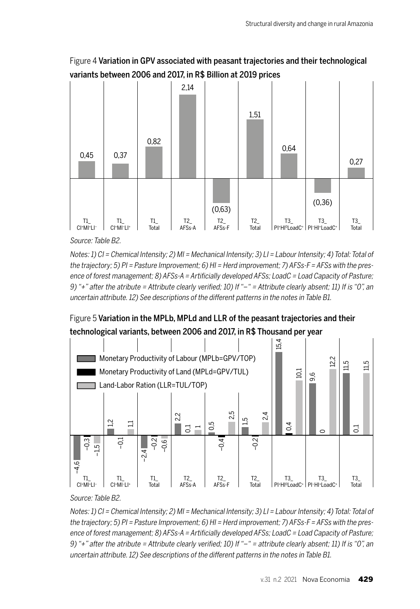Figure 4 Variation in GPV associated with peasant trajectories and their technological variants between 2006 and 2017, in R\$ Billion at 2019 prices



Source: Table B2.

Notes: 1) CI = Chemical Intensity; 2) MI = Mechanical Intensity; 3) LI = Labour Intensity; 4) Total: Total of the trajectory; 5) PI = Pasture Improvement; 6) HI = Herd improvement; 7) AFSs-F = AFSs with the presence of forest management; 8) AFSs-A = Artificially developed AFSs; LoadC = Load Capacity of Pasture; 9) "+" after the atribute = Attribute clearly verified; 10) If "-" = Attribute clearly absent; 11) If is "0", an uncertain attribute. 12) See descriptions of the different patterns in the notes in Table B1.





Source: Table B2.

Notes: 1) CI = Chemical Intensity; 2) MI = Mechanical Intensity; 3) LI = Labour Intensity; 4) Total: Total of the trajectory; 5) PI = Pasture Improvement; 6) HI = Herd improvement; 7) AFSs-F = AFSs with the presence of forest management; 8) AFSs-A = Artificially developed AFSs; LoadC = Load Capacity of Pasture; 9) "+" after the atribute = Attribute clearly verified; 10) If " $-$ " = attribute clearly absent; 11) If is "0", an uncertain attribute. 12) See descriptions of the different patterns in the notes in Table B1.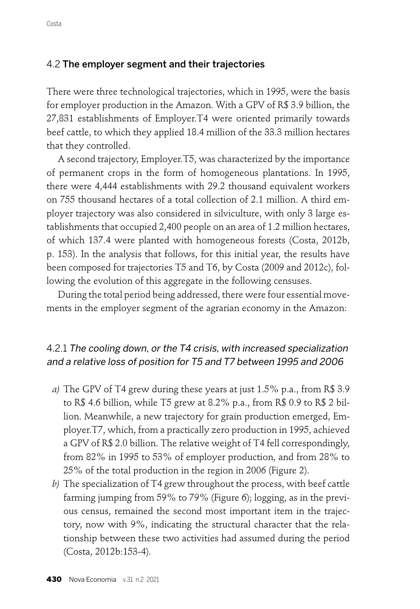#### 4.2 The employer segment and their trajectories

There were three technological trajectories, which in 1995, were the basis for employer production in the Amazon. With a GPV of R\$ 3.9 billion, the 27,831 establishments of Employer.T4 were oriented primarily towards beef cattle, to which they applied 18.4 million of the 33.3 million hectares that they controlled.

A second trajectory, Employer.T5, was characterized by the importance of permanent crops in the form of homogeneous plantations. In 1995, there were 4,444 establishments with 29.2 thousand equivalent workers on 755 thousand hectares of a total collection of 2.1 million. A third employer trajectory was also considered in silviculture, with only 3 large establishments that occupied 2,400 people on an area of 1.2 million hectares, of which 137.4 were planted with homogeneous forests (Costa, 2012b, p. 153). In the analysis that follows, for this initial year, the results have been composed for trajectories T5 and T6, by Costa (2009 and 2012c), following the evolution of this aggregate in the following censuses.

During the total period being addressed, there were four essential movements in the employer segment of the agrarian economy in the Amazon:

## 4.2.1 The cooling down, or the T4 crisis, with increased specialization and a relative loss of position for T5 and T7 between 1995 and 2006

- *a)* The GPV of T4 grew during these years at just 1.5% p.a., from R\$ 3.9 to R\$ 4.6 billion, while T5 grew at 8.2% p.a., from R\$ 0.9 to R\$ 2 billion. Meanwhile, a new trajectory for grain production emerged, Employer.T7, which, from a practically zero production in 1995, achieved a GPV of R\$ 2.0 billion. The relative weight of T4 fell correspondingly, from 82% in 1995 to 53% of employer production, and from 28% to 25% of the total production in the region in 2006 (Figure 2).
- *b)* The specialization of T4 grew throughout the process, with beef cattle farming jumping from 59% to 79% (Figure 6); logging, as in the previous census, remained the second most important item in the trajectory, now with 9%, indicating the structural character that the relationship between these two activities had assumed during the period (Costa, 2012b:153-4).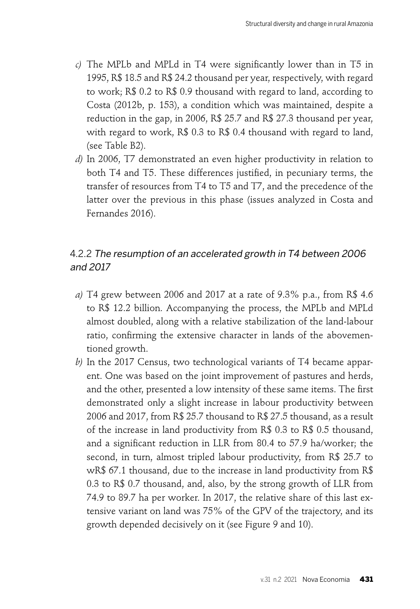- *c*) The MPLb and MPLd in T4 were significantly lower than in T5 in 1995, R\$ 18.5 and R\$ 24.2 thousand per year, respectively, with regard to work; R\$ 0.2 to R\$ 0.9 thousand with regard to land, according to Costa (2012b, p. 153), a condition which was maintained, despite a reduction in the gap, in 2006, R\$ 25.7 and R\$ 27.3 thousand per year, with regard to work, R\$ 0.3 to R\$ 0.4 thousand with regard to land, (see Table B2).
- *d)* In 2006, T7 demonstrated an even higher productivity in relation to both T4 and T5. These differences justified, in pecuniary terms, the transfer of resources from T4 to T5 and T7, and the precedence of the latter over the previous in this phase (issues analyzed in Costa and Fernandes 2016).

## 4.2.2 The resumption of an accelerated growth in T4 between 2006 and 2017

- *a)* T4 grew between 2006 and 2017 at a rate of 9.3% p.a., from R\$ 4.6 to R\$ 12.2 billion. Accompanying the process, the MPLb and MPLd almost doubled, along with a relative stabilization of the land-labour ratio, confirming the extensive character in lands of the abovementioned growth.
- *b)* In the 2017 Census, two technological variants of T4 became apparent. One was based on the joint improvement of pastures and herds, and the other, presented a low intensity of these same items. The first demonstrated only a slight increase in labour productivity between 2006 and 2017, from R\$ 25.7 thousand to R\$ 27.5 thousand, as a result of the increase in land productivity from R\$ 0.3 to R\$ 0.5 thousand, and a significant reduction in LLR from 80.4 to 57.9 ha/worker; the second, in turn, almost tripled labour productivity, from R\$ 25.7 to wR\$ 67.1 thousand, due to the increase in land productivity from R\$ 0.3 to R\$ 0.7 thousand, and, also, by the strong growth of LLR from 74.9 to 89.7 ha per worker. In 2017, the relative share of this last extensive variant on land was 75% of the GPV of the trajectory, and its growth depended decisively on it (see Figure 9 and 10).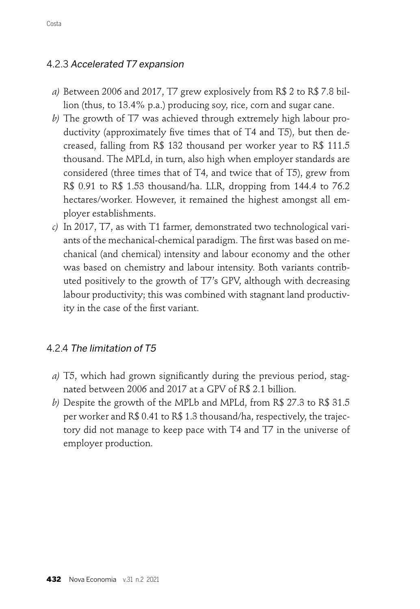### 4.2.3 Accelerated T7 expansion

- *a)* Between 2006 and 2017, T7 grew explosively from R\$ 2 to R\$ 7.8 billion (thus, to 13.4% p.a.) producing soy, rice, corn and sugar cane.
- *b)* The growth of T7 was achieved through extremely high labour productivity (approximately five times that of  $T4$  and  $T5$ ), but then decreased, falling from R\$ 132 thousand per worker year to R\$ 111.5 thousand. The MPLd, in turn, also high when employer standards are considered (three times that of T4, and twice that of T5), grew from R\$ 0.91 to R\$ 1.53 thousand/ha. LLR, dropping from 144.4 to 76.2 hectares/worker. However, it remained the highest amongst all employer establishments.
- *c)* In 2017, T7, as with T1 farmer, demonstrated two technological variants of the mechanical-chemical paradigm. The first was based on mechanical (and chemical) intensity and labour economy and the other was based on chemistry and labour intensity. Both variants contributed positively to the growth of T7's GPV, although with decreasing labour productivity; this was combined with stagnant land productivity in the case of the first variant.

#### 4.2.4 The limitation of T5

- *a*) T5, which had grown significantly during the previous period, stagnated between 2006 and 2017 at a GPV of R\$ 2.1 billion.
- *b)* Despite the growth of the MPLb and MPLd, from R\$ 27.3 to R\$ 31.5 per worker and R\$ 0.41 to R\$ 1.3 thousand/ha, respectively, the trajectory did not manage to keep pace with T4 and T7 in the universe of employer production.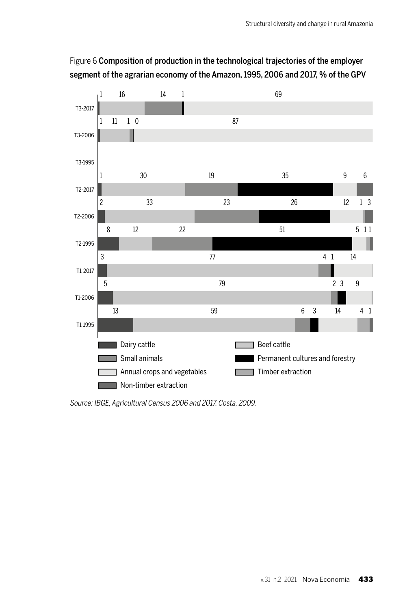

## Figure 6 Composition of production in the technological trajectories of the employer segment of the agrarian economy of the Amazon, 1995, 2006 and 2017, % of the GPV

Source: IBGE, Agricultural Census 2006 and 2017. Costa, 2009.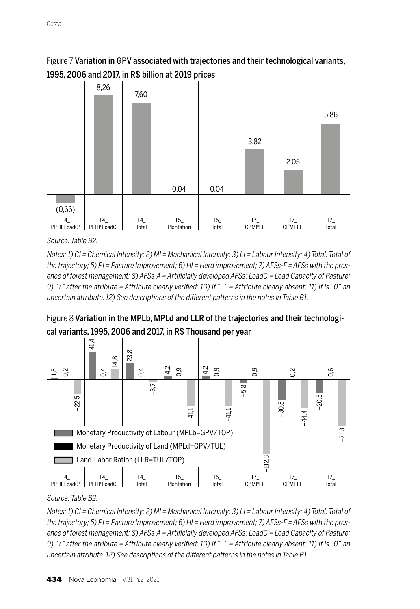### Figure 7 Variation in GPV associated with trajectories and their technological variants, 1995, 2006 and 2017, in R\$ billion at 2019 prices



Source: Table B2.

Notes: 1) CI = Chemical Intensity; 2) MI = Mechanical Intensity; 3) LI = Labour Intensity; 4) Total: Total of the trajectory; 5) PI = Pasture Improvement; 6) HI = Herd improvement; 7) AFSs-F = AFSs with the presence of forest management: 8) AFSs-A = Artificially developed AFSs: LoadC = Load Capacity of Pasture; 9) "+" after the atribute = Attribute clearly verified; 10) If "-" = Attribute clearly absent; 11) If is "0", an uncertain attribute. 12) See descriptions of the different patterns in the notes in Table B1.





Source: Table B2.

Notes: 1) CI = Chemical Intensity; 2) MI = Mechanical Intensity; 3) LI = Labour Intensity; 4) Total: Total of the trajectory; 5) PI = Pasture Improvement; 6) HI = Herd improvement; 7) AFSs-F = AFSs with the presence of forest management; 8) AFSs-A = Artificially developed AFSs; LoadC = Load Capacity of Pasture; 9) "+" after the atribute = Attribute clearly verified; 10) If "-" = Attribute clearly absent; 11) If is "0", an uncertain attribute. 12) See descriptions of the different patterns in the notes in Table B1.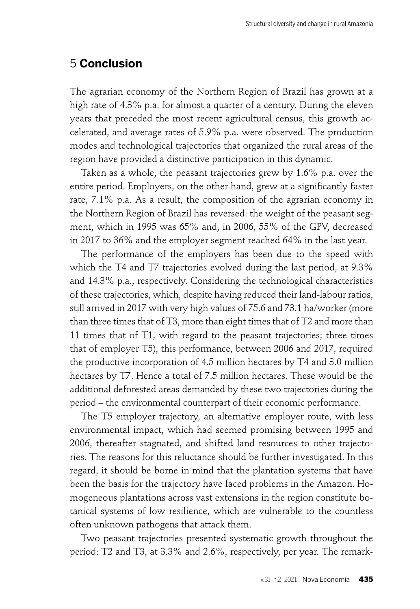## 5 **Conclusion**

The agrarian economy of the Northern Region of Brazil has grown at a high rate of 4.3% p.a. for almost a quarter of a century. During the eleven years that preceded the most recent agricultural census, this growth accelerated, and average rates of 5.9% p.a. were observed. The production modes and technological trajectories that organized the rural areas of the region have provided a distinctive participation in this dynamic.

Taken as a whole, the peasant trajectories grew by 1.6% p.a. over the entire period. Employers, on the other hand, grew at a significantly faster rate, 7.1% p.a. As a result, the composition of the agrarian economy in the Northern Region of Brazil has reversed: the weight of the peasant segment, which in 1995 was 65% and, in 2006, 55% of the GPV, decreased in 2017 to 36% and the employer segment reached 64% in the last year.

The performance of the employers has been due to the speed with which the T4 and T7 trajectories evolved during the last period, at 9.3% and 14.3% p.a., respectively. Considering the technological characteristics of these trajectories, which, despite having reduced their land-labour ratios, still arrived in 2017 with very high values of 75.6 and 73.1 ha/worker (more than three times that of T3, more than eight times that of T2 and more than 11 times that of T1, with regard to the peasant trajectories; three times that of employer T5), this performance, between 2006 and 2017, required the productive incorporation of 4.5 million hectares by T4 and 3.0 million hectares by T7. Hence a total of 7.5 million hectares. These would be the additional deforested areas demanded by these two trajectories during the period – the environmental counterpart of their economic performance.

The T5 employer trajectory, an alternative employer route, with less environmental impact, which had seemed promising between 1995 and 2006, thereafter stagnated, and shifted land resources to other trajectories. The reasons for this reluctance should be further investigated. In this regard, it should be borne in mind that the plantation systems that have been the basis for the trajectory have faced problems in the Amazon. Homogeneous plantations across vast extensions in the region constitute botanical systems of low resilience, which are vulnerable to the countless often unknown pathogens that attack them.

Two peasant trajectories presented systematic growth throughout the period: T2 and T3, at 3.3% and 2.6%, respectively, per year. The remark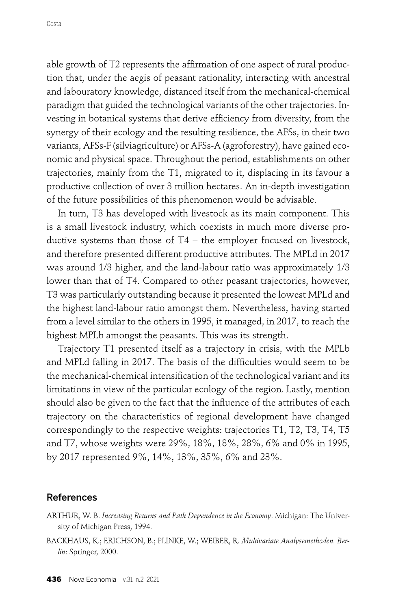able growth of T2 represents the affirmation of one aspect of rural production that, under the aegis of peasant rationality, interacting with ancestral and labouratory knowledge, distanced itself from the mechanical-chemical paradigm that guided the technological variants of the other trajectories. Investing in botanical systems that derive efficiency from diversity, from the synergy of their ecology and the resulting resilience, the AFSs, in their two variants, AFSs-F (silviagriculture) or AFSs-A (agroforestry), have gained economic and physical space. Throughout the period, establishments on other trajectories, mainly from the T1, migrated to it, displacing in its favour a productive collection of over 3 million hectares. An in-depth investigation of the future possibilities of this phenomenon would be advisable.

In turn, T3 has developed with livestock as its main component. This is a small livestock industry, which coexists in much more diverse productive systems than those of T4 – the employer focused on livestock, and therefore presented different productive attributes. The MPLd in 2017 was around 1/3 higher, and the land-labour ratio was approximately 1/3 lower than that of T4. Compared to other peasant trajectories, however, T3 was particularly outstanding because it presented the lowest MPLd and the highest land-labour ratio amongst them. Nevertheless, having started from a level similar to the others in 1995, it managed, in 2017, to reach the highest MPLb amongst the peasants. This was its strength.

Trajectory T1 presented itself as a trajectory in crisis, with the MPLb and MPLd falling in 2017. The basis of the difficulties would seem to be the mechanical-chemical intensification of the technological variant and its limitations in view of the particular ecology of the region. Lastly, mention should also be given to the fact that the influence of the attributes of each trajectory on the characteristics of regional development have changed correspondingly to the respective weights: trajectories T1, T2, T3, T4, T5 and T7, whose weights were 29%, 18%, 18%, 28%, 6% and 0% in 1995, by 2017 represented 9%, 14%, 13%, 35%, 6% and 23%.

#### References

- ARTHUR, W. B. *Increasing Returns and Path Dependence in the Economy*. Michigan: The University of Michigan Press, 1994.
- BACKHAUS, K.; ERICHSON, B.; PLINKE, W.; WEIBER, R. *Multivariate Analysemethoden. Berlin*: Springer, 2000.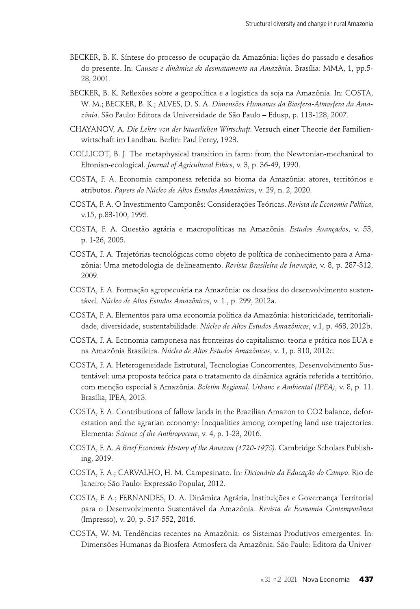- BECKER, B. K. Síntese do processo de ocupação da Amazônia: lições do passado e desafios do presente. In: *Causas e dinâmica do desmatamento na Amazônia*. Brasília: MMA, 1, pp.5- 28, 2001.
- BECKER, B. K. Reflexões sobre a geopolítica e a logística da soja na Amazônia. In: COSTA, W. M.; BECKER, B. K.; ALVES, D. S. A. *Dimensões Humanas da Biosfera-Atmosfera da Amazônia*. São Paulo: Editora da Universidade de São Paulo – Edusp, p. 113-128, 2007.
- CHAYANOV, A. *Die Lehre von der bäuerlichen Wirtschaft*: Versuch einer Theorie der Familienwirtschaft im Landbau. Berlin: Paul Perey, 1923.
- COLLICOT, B. J. The metaphysical transition in farm: from the Newtonian-mechanical to Eltonian-ecological. *Journal of Agricultural Ethics*, v. 3, p. 36-49, 1990.
- COSTA, F. A. Economia camponesa referida ao bioma da Amazônia: atores, territórios e atributos. *Papers do Núcleo de Altos Estudos Amazônicos*, v. 29, n. 2, 2020.
- COSTA, F. A. O Investimento Camponês: Considerações Teóricas. *Revista de Economia Política*, v.15, p.83-100, 1995.
- COSTA, F. A. Questão agrária e macropolíticas na Amazônia. *Estudos Avançados*, v. 53, p. 1-26, 2005.
- COSTA, F. A. Trajetórias tecnológicas como objeto de política de conhecimento para a Amazônia: Uma metodologia de delineamento. *Revista Brasileira de Inovação*, v. 8, p. 287-312, 2009.
- COSTA, F. A. Formação agropecuária na Amazônia: os desafios do desenvolvimento sustentável. *Núcleo de Altos Estudos Amazônicos*, v. 1., p. 299, 2012a.
- COSTA, F. A. Elementos para uma economia política da Amazônia: historicidade, territorialidade, diversidade, sustentabilidade. *Núcleo de Altos Estudos Amazônicos*, v.1, p. 468, 2012b.
- COSTA, F. A. Economia camponesa nas fronteiras do capitalismo: teoria e prática nos EUA e na Amazônia Brasileira. *Núcleo de Altos Estudos Amazônicos*, v. 1, p. 310, 2012c.
- COSTA, F. A. Heterogeneidade Estrutural, Tecnologias Concorrentes, Desenvolvimento Sustentável: uma proposta teórica para o tratamento da dinâmica agrária referida a território, com menção especial à Amazônia. *Boletim Regional, Urbano e Ambiental (IPEA)*, v. 8, p. 11. Brasília, IPEA, 2013.
- COSTA, F. A. Contributions of fallow lands in the Brazilian Amazon to CO2 balance, deforestation and the agrarian economy: Inequalities among competing land use trajectories. Elementa: *Science of the Anthropocene*, v. 4, p. 1-23, 2016.
- COSTA, F. A. *A Brief Economic History of the Amazon (1720-1970)*. Cambridge Scholars Publishing, 2019.
- COSTA, F. A.; CARVALHO, H. M. Campesinato. In: *Dicionário da Educação do Campo*. Rio de Janeiro; São Paulo: Expressão Popular, 2012.
- COSTA, F. A.; FERNANDES, D. A. Dinâmica Agrária, Instituições e Governança Territorial para o Desenvolvimento Sustentável da Amazônia. *Revista de Economia Contemporânea*  (Impresso), v. 20, p. 517-552, 2016.
- COSTA, W. M. Tendências recentes na Amazônia: os Sistemas Produtivos emergentes. In: Dimensões Humanas da Biosfera-Atmosfera da Amazônia. São Paulo: Editora da Univer-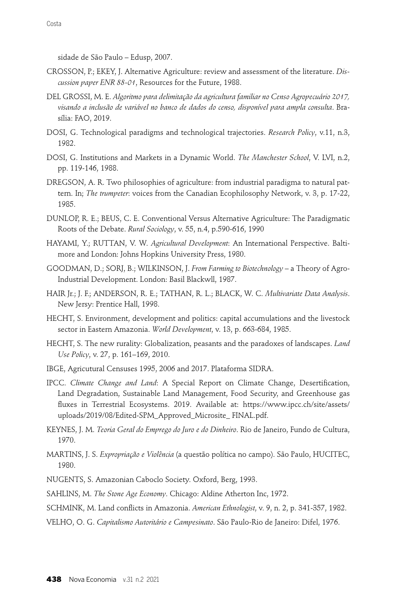sidade de São Paulo – Edusp, 2007.

- CROSSON, P.; EKEY, J. Alternative Agriculture: review and assessment of the literature. *Discussion paper ENR 88-01*, Resources for the Future, 1988.
- DEL GROSSI, M. E. *Algoritmo para delimitação da agricultura familiar no Censo Agropecuário 2017, visando a inclusão de variável no banco de dados do censo, disponível para ampla consulta*. Brasília: FAO, 2019.
- DOSI, G. Technological paradigms and technological trajectories. *Research Policy*, v.11, n.3, 1982.
- DOSI, G. Institutions and Markets in a Dynamic World. *The Manchester School*, V. LVI, n.2, pp. 119-146, 1988.
- DREGSON, A. R. Two philosophies of agriculture: from industrial paradigma to natural pattern. In; *The trumpeter*: voices from the Canadian Ecophilosophy Network, v. 3, p. 17-22, 1985.
- DUNLOP, R. E.; BEUS, C. E. Conventional Versus Alternative Agriculture: The Paradigmatic Roots of the Debate. *Rural Sociology*, v. 55, n.4, p.590-616, 1990
- HAYAMI, Y.; RUTTAN, V. W. *Agricultural Development*: An International Perspective. Baltimore and London: Johns Hopkins University Press, 1980.
- GOODMAN, D.; SORJ, B.; WILKINSON, J. *From Farming to Biotechnology* a Theory of Agro-Industrial Development. London: Basil Blackwll, 1987.
- HAIR Jr.; J. F.; ANDERSON, R. E.; TATHAN, R. L.; BLACK, W. C. *Multivariate Data Analysis*. New Jersy: Prentice Hall, 1998.
- HECHT, S. Environment, development and politics: capital accumulations and the livestock sector in Eastern Amazonia. *World Development*, v. 13, p. 663-684, 1985.
- HECHT, S. The new rurality: Globalization, peasants and the paradoxes of landscapes. *Land Use Policy*, v. 27, p. 161–169, 2010.
- IBGE, Agricutural Censuses 1995, 2006 and 2017. Plataforma SIDRA.
- IPCC. *Climate Change and Land*: A Special Report on Climate Change, Desertification, Land Degradation, Sustainable Land Management, Food Security, and Greenhouse gas fluxes in Terrestrial Ecosystems. 2019. Available at: https://www.ipcc.ch/site/assets/ uploads/2019/08/Edited-SPM\_Approved\_Microsite\_ FINAL.pdf.
- KEYNES, J. M. *Teoria Geral do Emprego do Juro e do Dinheiro*. Rio de Janeiro, Fundo de Cultura, 1970.
- MARTINS, J. S. *Expropriação e Violência* (a questão política no campo). São Paulo, HUCITEC, 1980.

NUGENTS, S. Amazonian Caboclo Society. Oxford, Berg, 1993.

SAHLINS, M. *The Stone Age Economy*. Chicago: Aldine Atherton Inc, 1972.

- SCHMINK, M. Land conflicts in Amazonia. *American Ethnologist*, v. 9, n. 2, p. 341-357, 1982.
- VELHO, O. G. *Capitalismo Autoritário e Campesinato*. São Paulo-Rio de Janeiro: Difel, 1976.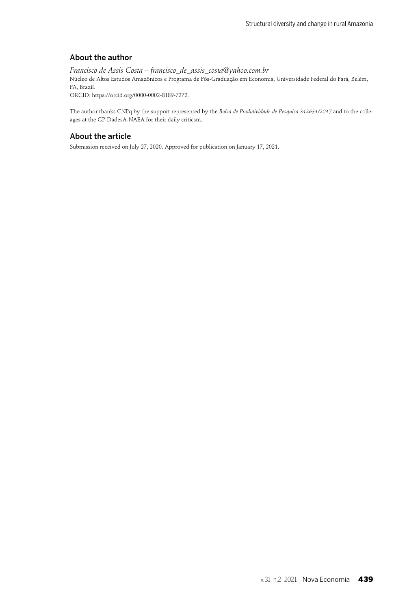#### About the author

*Francisco de Assis Costa – francisco\_de\_assis\_costa@yahoo.com.br* Núcleo de Altos Estudos Amazônicos e Programa de Pós-Graduação em Economia, Universidade Federal do Pará, Belém, PA, Brazil. ORCID: https://orcid.org/0000-0002-8189-7272.

The author thanks CNPq by the support represented by the *Bolsa de Produtividade de Pesquisa 312651/2017* and to the colleages at the GP-DadesA-NAEA for their daily criticsm.

#### About the article

Submission received on July 27, 2020. Approved for publication on January 17, 2021.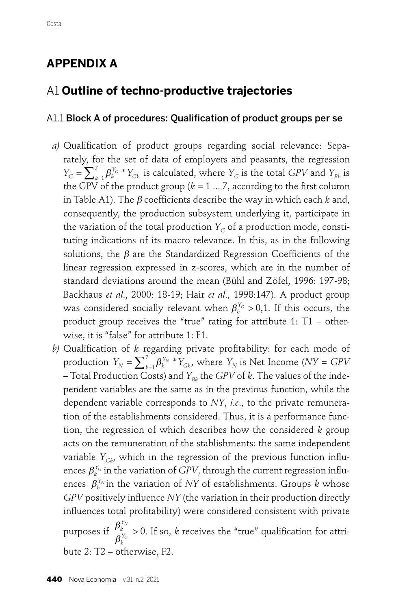# **APPENDIX A**

## A1 **Outline of techno-productive trajectories**

#### A1.1 Block A of procedures: Qualification of product groups per se

- a) Qualification of product groups regarding social relevance: Separately, for the set of data of employers and peasants, the regression  $Y_G = \sum_{k=1}^7 \beta_k^{Y_G} * Y_{Gk}$  is calculated, where  $Y_G$  is the total *GPV* and  $Y_{Bk}$  is the GPV of the product group ( $k = 1 ... 7$ , according to the first column in Table A1). The  $\beta$  coefficients describe the way in which each  $k$  and, consequently, the production subsystem underlying it, participate in the variation of the total production  $Y_G$  of a production mode, constituting indications of its macro relevance. In this, as in the following solutions, the  $\beta$  are the Standardized Regression Coefficients of the linear regression expressed in z-scores, which are in the number of standard deviations around the mean (Bühl and Zöfel, 1996: 197-98; Backhaus *et al*., 2000: 18-19; Hair *et al*., 1998:147). A product group was considered socially relevant when  $\beta_k^{Y_G} > 0,1$ . If this occurs, the product group receives the "true" rating for attribute 1: T1 – otherwise, it is "false" for attribute 1: F1.
- *b*) Qualification of *k* regarding private profitability: for each mode of production  $Y_N = \sum_{k=1}^7 \beta_k^{Y_N} * Y_{Gk}$ , where  $Y_N$  is Net Income ( $NY = GPV$ – Total Production Costs) and  $Y_{Bk}$  the *GPV* of *k*. The values of the independent variables are the same as in the previous function, while the dependent variable corresponds to *NY*, *i.e*., to the private remuneration of the establishments considered. Thus, it is a performance function, the regression of which describes how the considered *k* group acts on the remuneration of the stablishments: the same independent variable  $Y_{Gk}$ , which in the regression of the previous function influences  $\pmb{\beta}_k^{Y_G}$  in the variation of  $GPV$ , through the current regression influences  $\beta_k^{Y_N}$  in the variation of *NY* of establishments. Groups  $k$  whose *GPV* positively influence *NY* (the variation in their production directly influences total profitability) were considered consistent with private bute 2: T2 – otherwise, F2. purposes if  $\frac{\beta_k^{I_N}}{2} > 0$ . If so, *k* receives the "true" qualification for attriβ *k Y k Y N*  $\frac{1}{\sqrt{G}} > 0$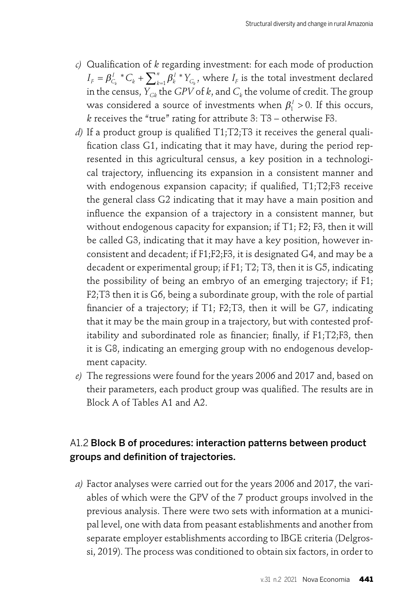- *c*) Qualification of *k* regarding investment: for each mode of production  $I_F = \beta_{C_k}^{I} {^*C_k} + \sum_{k=1}^{n} \beta_k^{I} {^*Y_{C_k}}$ , where  $I_F$  is the total investment declared in the census,  $Y_{\text{GB}}$  the *GPV* of *k*, and  $C_k$  the volume of credit. The group was considered a source of investments when  $\beta_1^1 > 0$ . If this occurs, *k* receives the "true" rating for attribute 3: T3 – otherwise F3.  $= \beta_{C_k}^l * C_k + \sum_{k=1}^n \beta_k^l * Y_{C_k}$
- *d*) If a product group is qualified  $T1$ ;  $T2$ ;  $T3$  it receives the general qualification class G1, indicating that it may have, during the period represented in this agricultural census, a key position in a technological trajectory, influencing its expansion in a consistent manner and with endogenous expansion capacity; if qualified,  $T1; T2; F3$  receive the general class G2 indicating that it may have a main position and influence the expansion of a trajectory in a consistent manner, but without endogenous capacity for expansion; if T1; F2; F3, then it will be called G3, indicating that it may have a key position, however inconsistent and decadent; if F1;F2;F3, it is designated G4, and may be a decadent or experimental group; if F1; T2; T3, then it is G5, indicating the possibility of being an embryo of an emerging trajectory; if F1; F2;T3 then it is G6, being a subordinate group, with the role of partial financier of a trajectory; if  $T1$ ;  $F2$ ;  $T3$ , then it will be  $G7$ , indicating that it may be the main group in a trajectory, but with contested profitability and subordinated role as financier; finally, if  $F1;T2;F3$ , then it is G8, indicating an emerging group with no endogenous development capacity.
- *e)* The regressions were found for the years 2006 and 2017 and, based on their parameters, each product group was qualified. The results are in Block A of Tables A1 and A2.

## A1.2 Block B of procedures: interaction patterns between product groups and definition of trajectories.

*a)* Factor analyses were carried out for the years 2006 and 2017, the variables of which were the GPV of the 7 product groups involved in the previous analysis. There were two sets with information at a municipal level, one with data from peasant establishments and another from separate employer establishments according to IBGE criteria (Delgrossi, 2019). The process was conditioned to obtain six factors, in order to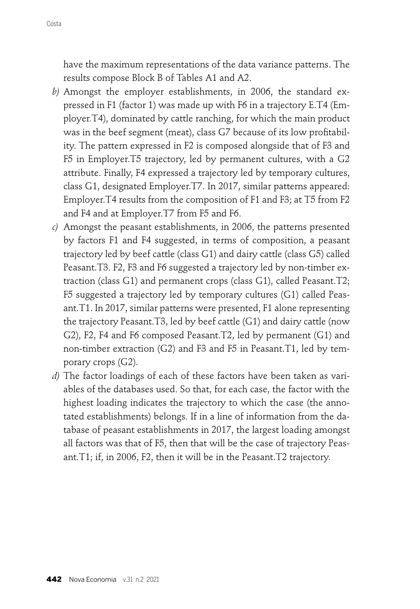have the maximum representations of the data variance patterns. The results compose Block B of Tables A1 and A2.

- *b)* Amongst the employer establishments, in 2006, the standard expressed in F1 (factor 1) was made up with F6 in a trajectory E.T4 (Employer.T4), dominated by cattle ranching, for which the main product was in the beef segment (meat), class G7 because of its low profitability. The pattern expressed in F2 is composed alongside that of F3 and F5 in Employer.T5 trajectory, led by permanent cultures, with a G2 attribute. Finally, F4 expressed a trajectory led by temporary cultures, class G1, designated Employer.T7. In 2017, similar patterns appeared: Employer.T4 results from the composition of F1 and F3; at T5 from F2 and F4 and at Employer.T7 from F5 and F6.
- *c)* Amongst the peasant establishments, in 2006, the patterns presented by factors F1 and F4 suggested, in terms of composition, a peasant trajectory led by beef cattle (class G1) and dairy cattle (class G5) called Peasant.T3. F2, F3 and F6 suggested a trajectory led by non-timber extraction (class G1) and permanent crops (class G1), called Peasant.T2; F5 suggested a trajectory led by temporary cultures (G1) called Peasant.T1. In 2017, similar patterns were presented, F1 alone representing the trajectory Peasant.T3, led by beef cattle (G1) and dairy cattle (now G2), F2, F4 and F6 composed Peasant.T2, led by permanent (G1) and non-timber extraction (G2) and F3 and F5 in Peasant.T1, led by temporary crops (G2).
- *d)* The factor loadings of each of these factors have been taken as variables of the databases used. So that, for each case, the factor with the highest loading indicates the trajectory to which the case (the annotated establishments) belongs. If in a line of information from the database of peasant establishments in 2017, the largest loading amongst all factors was that of F5, then that will be the case of trajectory Peasant.T1; if, in 2006, F2, then it will be in the Peasant.T2 trajectory.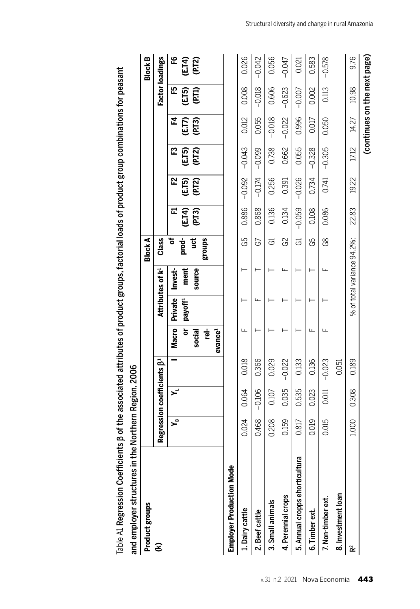| Product groups                              |       |                                   |          |                          |                     |                              | <b>Block A</b> |                |                 |                  |                       |                              | <b>Block B</b>         |
|---------------------------------------------|-------|-----------------------------------|----------|--------------------------|---------------------|------------------------------|----------------|----------------|-----------------|------------------|-----------------------|------------------------------|------------------------|
| E                                           |       | Regression coefficients $\beta^1$ |          |                          |                     | Attributes of k <sup>1</sup> | Class          |                |                 |                  |                       |                              | <b>Factor loadings</b> |
|                                             | ۳     | بر<br>حو                          |          | <b>Macro</b>             | <b>Private</b>      | Invest-                      | ٥ť             | Д              | 52              | ဥ                | ᅜ                     | 巴                            | ٩                      |
|                                             |       |                                   |          | ò<br>social              | payoff <sup>1</sup> | ment<br>source               | prod-<br>ë     | (ET4)<br>(PT3) | (E.T5)<br>(PT2) | (E.T5)<br>(P.T2) | <b>(ETT)</b><br>(PTT) | (ET5)<br>(PT1)               | (E.T4)<br>(P.T2)       |
|                                             |       |                                   |          | 핟<br>evance <sup>1</sup> |                     |                              | <b>Sunou</b> s |                |                 |                  |                       |                              |                        |
| <b>lode</b><br><b>Employer Production M</b> |       |                                   |          |                          |                     |                              |                |                |                 |                  |                       |                              |                        |
| <b>L.</b> Dairy cattle                      | 0.024 | 0.064                             | 0.018    | ட                        |                     |                              | G5             | 0.886          | $-0.092$        | $-0.043$         | 0.012                 | 0.008                        | 0.026                  |
| 2. Beef cattle                              | 0.468 | $-0.106$                          | 0.366    |                          | Щ                   |                              | G              | 0.868          | $-0.174$        | $-0.099$         | 0.055                 | $-0.018$                     | $-0.042$               |
| 3. Small animals                            | 0.208 | 0.107                             | 0.029    |                          |                     |                              | යි             | 0.136          | 0.256           | 0.738            | $-0.018$              | 0.606                        | 0.056                  |
| 4. Perennial crops                          | 0.159 | 0.035                             | $-0.022$ |                          |                     | щ                            | G2             | 0.134          | 0.391           | 0.662            | $-0.022$              | $-0.623$                     | $-0.047$               |
| icultura<br>5. Annual cropps ehort          | 0.817 | 0.535                             | 0.133    |                          |                     |                              | ය              | $-0.059$       | $-0.026$        | 0.055            | 0.996                 | $-0.007$                     | 0.021                  |
| 6. Timber ext.                              | 0.019 | 0.023                             | 0.136    | Щ                        |                     |                              | G5             | 0.108          | 0.734           | $-0.328$         | 0.017                 | 0.002                        | 0.583                  |
| 7. Non-timber ext.                          | 0.015 | 0.011                             | $-0.023$ |                          |                     | Щ                            | 8S             | 0.086          | 0.741           | $-0.305$         | 0.050                 | 0.113                        | $-0.578$               |
| 8. Investment loan                          |       |                                   | 0.051    |                          |                     |                              |                |                |                 |                  |                       |                              |                        |
| ř                                           | 1.000 | 0.308                             | 0.189    |                          |                     | % of total variance 94.2%:   |                | 22.83          | 19.22           | 17.12            | 14.27                 | 10.98                        | 9.76                   |
|                                             |       |                                   |          |                          |                     |                              |                |                |                 |                  |                       | (continues on the next page) |                        |

Table A1 Regression Coefficients  $\beta$  of the associated attributes of product groups, factorial loads of product group combinations for peasant Table A1 Regression Coefficients β of the associated attributes of product groups, factorial loads of product group combinations for peasant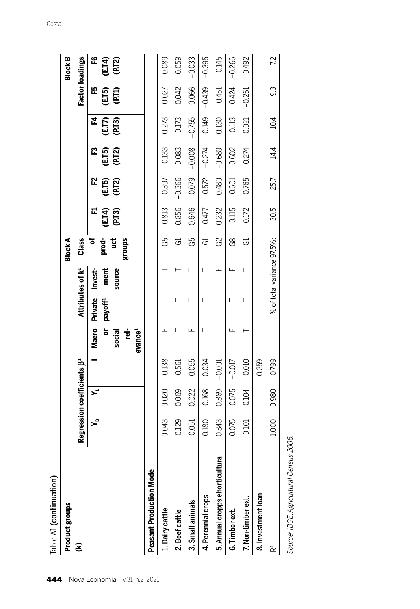| Table A1 (continuation)                    |       |                                              |          |                     |                     |                              |                |                |                |                  |                 |                 |                  |
|--------------------------------------------|-------|----------------------------------------------|----------|---------------------|---------------------|------------------------------|----------------|----------------|----------------|------------------|-----------------|-----------------|------------------|
| Product groups                             |       |                                              |          |                     |                     |                              | <b>Block A</b> |                |                |                  |                 |                 | <b>Block B</b>   |
| E                                          |       | Regression coefficients $\beta$ <sup>1</sup> |          |                     |                     | Attributes of k <sup>1</sup> | Class          |                |                |                  |                 | Factor loadings |                  |
|                                            | ∍ے    | بر<br>پ                                      |          | <b>Macro</b>        | Private Invest-     |                              | Ⴆ              | Щ              | 52             | œ                | 조               | 巴               | ٩                |
|                                            |       |                                              |          | ŏ                   | payoff <sup>1</sup> | ment                         | prod-          |                |                |                  |                 |                 |                  |
|                                            |       |                                              |          | social              |                     | source                       | ë              | ETA)<br>(P.T3) | (ETS)<br>(PT2) | (E.T5)<br>(P.T2) | (E.T)<br>(P.T3) | (ET5)<br>(PT1)  | (E.T4)<br>(P.T2) |
|                                            |       |                                              |          | ģ                   |                     |                              | <b>Sunou</b> s |                |                |                  |                 |                 |                  |
|                                            |       |                                              |          | evance <sup>1</sup> |                     |                              |                |                |                |                  |                 |                 |                  |
| <b>Aode</b><br><b>Peasant Production N</b> |       |                                              |          |                     |                     |                              |                |                |                |                  |                 |                 |                  |
| 1. Dairy cattle                            | 0.043 | 0.020                                        | 0.138    |                     |                     |                              | G5             | 0.813          | $-0.397$       | 0.133            | 0.273           | 0.027           | 0.089            |
| 2. Beef cattle                             | 0.129 | 0.069                                        | 0.561    |                     |                     |                              | යි             | 0.856          | $-0.366$       | 0.083            | 0.173           | 0.042           | 0.059            |
| 3. Small animals                           | 0.051 | 0.022                                        | 0.055    |                     |                     |                              | G5             | 0.646          | 0.079          | $-0.008$         | $-0.755$        | 0.066           | $-0.033$         |
| 4. Perennial crops                         | 0.180 | 0.168                                        | 0.034    |                     |                     |                              | ය              | 0.477          | 0.572          | $-0.274$         | 0.149           | $-0.439$        | $-0.395$         |
| 5. Annual cropps ehorticultura             | 0.843 | 0.869                                        | $-0.001$ |                     |                     | щ                            | G2             | 0.232          | 0.480          | $-0.689$         | 0.130           | 0.451           | 0.145            |
| 6. Timber ext.                             | 0.075 | 0.075                                        | $-0.017$ |                     |                     | щ                            | 8S             | 0.115          | 0.601          | 0.602            | 0.113           | 0.424           | $-0.266$         |
| 7. Non-timber ext.                         | 0.101 | 0.104                                        | 0.010    |                     |                     |                              | යි             | 0.172          | 0.765          | 0.274            | 0.021           | $-0.261$        | 0.492            |
| 8. Investment loan                         |       |                                              | 0.259    |                     |                     |                              |                |                |                |                  |                 |                 |                  |
| ř                                          | 1.000 | 0.980                                        | 0.799    |                     |                     | % of total variance 97.5%:   |                | 30.5           | 25.7           | $\overline{44}$  | 10.4            | 93              | 7.2              |
| Source: IBGE, Agricultural Census 2006.    |       |                                              |          |                     |                     |                              |                |                |                |                  |                 |                 |                  |

| s      |
|--------|
| nnc    |
| ֓֕֜֡   |
|        |
|        |
|        |
|        |
| s<br>s |
|        |
|        |
| j      |
|        |
|        |
|        |
| i      |
|        |
|        |
| í      |
|        |
|        |
|        |
|        |
| č      |
|        |
|        |
|        |
|        |
|        |
|        |
|        |
|        |
|        |
|        |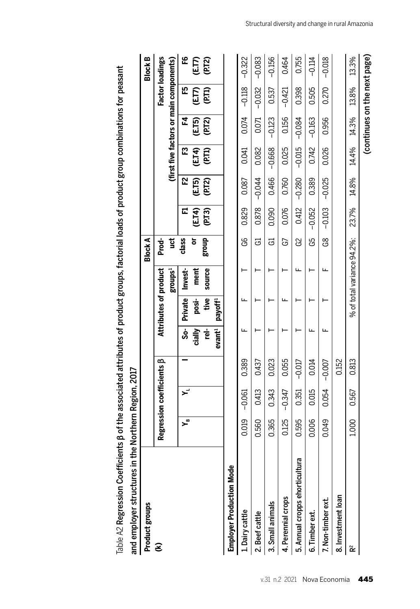| Product groups                              |       |                                 |          |                          |                       |                            | <b>Block A</b> |                |                |                 |                |                                         | <b>Block B</b>         |
|---------------------------------------------|-------|---------------------------------|----------|--------------------------|-----------------------|----------------------------|----------------|----------------|----------------|-----------------|----------------|-----------------------------------------|------------------------|
| E                                           |       | Regression coefficients $\beta$ |          |                          | Attributes of product |                            | Prod-          |                |                |                 |                |                                         | <b>Factor loadings</b> |
|                                             |       |                                 |          |                          |                       | groups <sup>1</sup>        | ğ              |                |                |                 |                | (first five factors or main components) |                        |
|                                             | ≃ِ    | ≍                               |          | $\overline{\text{S}}$ o- |                       | Private Invest-            | class          | 덦              | 5Z             | ဣ               | 고              | 먼                                       | ٩                      |
|                                             |       |                                 |          | cially                   | $posi-$               | ment                       | ត              |                |                |                 |                |                                         |                        |
|                                             |       |                                 |          | 핟                        | tive                  | source                     | dno.8          | (ET4)<br>(PT3) | (ET5)<br>(PT2) | (E.T4)<br>(PT1) | (ETS)<br>(PT2) | (ET)<br>(PTI)                           | (E.T?)<br>(P.T2)       |
|                                             |       |                                 |          | evant <sup>1</sup>       | payoff <sup>1</sup>   |                            |                |                |                |                 |                |                                         |                        |
| <b>lode</b><br><b>Employer Production M</b> |       |                                 |          |                          |                       |                            |                |                |                |                 |                |                                         |                        |
| 1. Dairy cattle                             | 0.019 | $-0.061$                        | 0.389    | щ                        | щ                     |                            | 99             | 0.829          | 0.087          | 0.041           | 0.074          | $-0.118$                                | $-0.322$               |
| 2. Beef cattle                              | 0.560 | 0.413                           | 0.437    |                          |                       |                            | ය              | 0.878          | $-0.044$       | 0.082           | 0.071          | $-0.032$                                | $-0.083$               |
| 3. Small animals                            | 0.365 | 0.343                           | 0.023    |                          |                       |                            | ය              | 0.090          | 0.466          | $-0.668$        | $-0.123$       | 0.537                                   | $-0.156$               |
| 4. Perennial crops                          | 0.125 | $-0.347$                        | 0.055    |                          |                       |                            | යි             | 0.076          | 0.760          | 0.025           | 0.156          | $-0.421$                                | 0.464                  |
| cultura<br>5. Annual cropps ehorti          | 0.595 | 0.351                           | $-0.017$ |                          |                       | щ                          | G2             | 0.412          | $-0.280$       | $-0.015$        | $-0.084$       | 0.398                                   | 0.755                  |
| 6. Timber ext.                              | 0.006 | 0.015                           | 0.014    | щ                        |                       |                            | G5             | $-0.052$       | 0.389          | 0.742           | $-0.163$       | 0.505                                   | $-0.114$               |
| 7. Non-timber ext.                          | 0.049 | 0.054                           | $-0.007$ | ш                        |                       | щ                          | 89             | $-0.103$       | $-0.025$       | 0.026           | 0.956          | 0.270                                   | $-0.018$               |
| 8. Investment loan                          |       |                                 | 0.152    |                          |                       |                            |                |                |                |                 |                |                                         |                        |
| ř                                           | 1.000 | 0.567                           | 0.813    |                          |                       | % of total variance 94.2%: |                | 23.7%          | 14.8%          | 14.4%           | 14.3%          | 13.8%                                   | 13.3%                  |
|                                             |       |                                 |          |                          |                       |                            |                |                |                |                 |                | (continues on the next page)            |                        |

Table A2 Regression Coefficients  $\beta$  of the associated attributes of product groups, factorial loads of product group combinations for peasant  $Table A2$  Regression Coefficients β of the associated attributes of product groups, factorial loads of product group combinations for peasant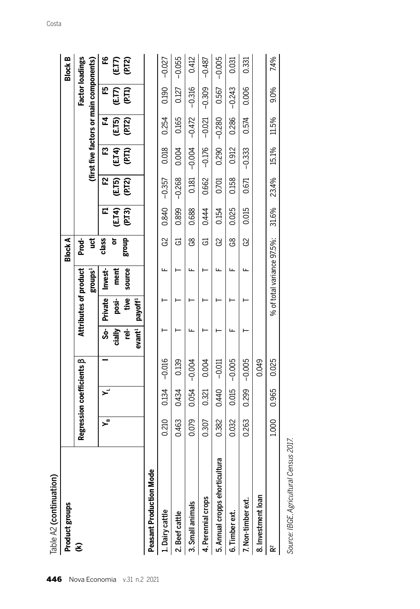| Table A2 (continuation)                                           |       |                                 |          |                   |                       |                            |                |       |          |                                         |                  |                        |                     |
|-------------------------------------------------------------------|-------|---------------------------------|----------|-------------------|-----------------------|----------------------------|----------------|-------|----------|-----------------------------------------|------------------|------------------------|---------------------|
| Product groups                                                    |       |                                 |          |                   |                       |                            | <b>Block A</b> |       |          |                                         |                  |                        | <b>Block B</b>      |
| E                                                                 |       | Regression coefficients $\beta$ |          |                   | Attributes of product |                            | Prod-          |       |          |                                         |                  | <b>Factor loadings</b> |                     |
|                                                                   |       |                                 |          |                   |                       | groups <sup>1</sup>        | ğ              |       |          | (first five factors or main components) |                  |                        |                     |
|                                                                   | ≃ہ    |                                 |          | နိ                | <b>Private</b>        | Invest-                    | class          | 됴     | 52       | <b>53</b>                               | ᅜ                | 먼                      | ဥ                   |
|                                                                   |       |                                 |          | cially            | posi-                 | ment                       | ៦              | (ET4) | (ET5)    | (E.T4)<br>(P.T1)                        | (E.T5)<br>(P.T2) | (ET)<br>(PTI)          | <b>ET2</b><br>(PT2) |
|                                                                   |       |                                 |          | 핟                 | tive                  | source                     | dnouß          | (PI3) | (PI2)    |                                         |                  |                        |                     |
|                                                                   |       |                                 |          | eval <sup>1</sup> | payoff <sup>1</sup>   |                            |                |       |          |                                         |                  |                        |                     |
| <b>lode</b><br><b>Peasant Production M</b>                        |       |                                 |          |                   |                       |                            |                |       |          |                                         |                  |                        |                     |
| 1. Dairy cattle                                                   | 0.210 | 0.134                           | $-0.016$ |                   |                       | щ                          | ပ္ပ            | 0.840 | $-0.357$ | 0.018                                   | 0.254            | 0.190                  | $-0.027$            |
| 2. Beef cattle                                                    | 0.463 | 0.434                           | 0.139    |                   |                       |                            | ಡ              | 0.899 | $-0.268$ | 0.004                                   | 0.165            | 0.127                  | $-0.055$            |
| 3. Small animals                                                  | 0.079 | 0.054                           | $-0.004$ |                   |                       | ᄔ                          | 8S             | 0.688 | 0.181    | $-0.004$                                | $-0.472$         | $-0.316$               | 0.412               |
| 4. Perennial crops                                                | 0.307 | 0.321                           | 0.004    |                   |                       |                            | යි             | 0.444 | 0.662    | $-0.176$                                | $-0.021$         | $-0.309$               | $-0.487$            |
| ticultura<br>5. Annual cropps ehor                                | 0.382 | 0.440                           | $-0.011$ |                   |                       | ட                          | ပ္ပ            | 0.154 | 0.701    | 0.290                                   | $-0.280$         | 0.567                  | $-0.005$            |
| 6. Timber ext.                                                    | 0.032 | 0.015                           | $-0.005$ |                   |                       | щ                          | 8S             | 0.025 | 0.158    | 0.912                                   | 0.286            | $-0.243$               | 0.031               |
| 7. Non-timber ext.                                                | 0.263 | 0.299                           | $-0.005$ |                   |                       | щ                          | ္ယ             | 0.015 | 0.671    | $-0.333$                                | 0.574            | 0.006                  | 0.331               |
| 8. Investment loan                                                |       |                                 | 0.049    |                   |                       |                            |                |       |          |                                         |                  |                        |                     |
| ř                                                                 | 1.000 | 0.965                           | 0.025    |                   |                       | % of total variance 97.5%: |                | 31.6% | 23.4%    | 15.1%                                   | 11.5%            | 9.0%                   | 7.4%                |
| דומר - - - - - - מוב<br>$C_1$ and $C_2$ in $C_1$ and $C_2$ is $A$ |       |                                 |          |                   |                       |                            |                |       |          |                                         |                  |                        |                     |

Source: IBGE, Agricultural Census 2017. Source: IBGE, Agricultural Census 2017.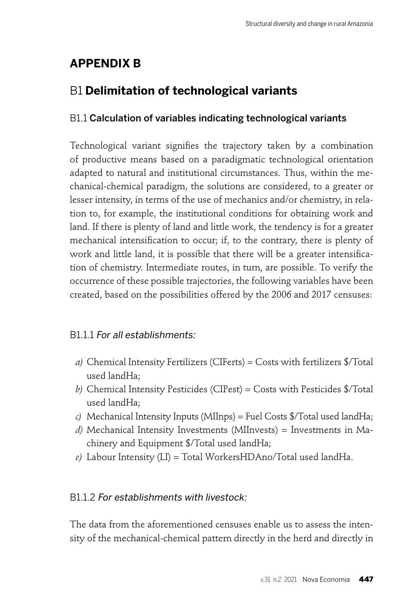# **APPENDIX B**

# B1 **Delimitation of technological variants**

#### B1.1 Calculation of variables indicating technological variants

Technological variant signifies the trajectory taken by a combination of productive means based on a paradigmatic technological orientation adapted to natural and institutional circumstances. Thus, within the mechanical-chemical paradigm, the solutions are considered, to a greater or lesser intensity, in terms of the use of mechanics and/or chemistry, in relation to, for example, the institutional conditions for obtaining work and land. If there is plenty of land and little work, the tendency is for a greater mechanical intensification to occur; if, to the contrary, there is plenty of work and little land, it is possible that there will be a greater intensification of chemistry. Intermediate routes, in turn, are possible. To verify the occurrence of these possible trajectories, the following variables have been created, based on the possibilities offered by the 2006 and 2017 censuses:

#### B1.1.1 For all establishments:

- *a)* Chemical Intensity Fertilizers (CIFerts) = Costs with fertilizers \$/Total used landHa;
- *b)* Chemical Intensity Pesticides (CIPest) = Costs with Pesticides \$/Total used landHa;
- *c)* Mechanical Intensity Inputs (MIInps) = Fuel Costs \$/Total used landHa;
- *d)* Mechanical Intensity Investments (MIInvests) = Investments in Machinery and Equipment \$/Total used landHa;
- *e)* Labour Intensity (LI) = Total WorkersHDAno/Total used landHa.

#### B1.1.2 For establishments with livestock:

The data from the aforementioned censuses enable us to assess the intensity of the mechanical-chemical pattern directly in the herd and directly in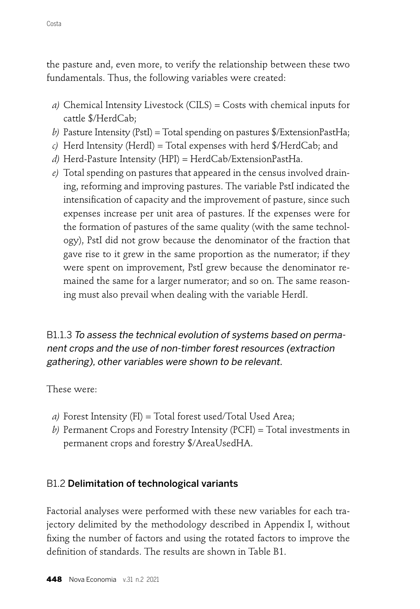the pasture and, even more, to verify the relationship between these two fundamentals. Thus, the following variables were created:

- *a)* Chemical Intensity Livestock (CILS) = Costs with chemical inputs for cattle \$/HerdCab;
- *b)* Pasture Intensity (PstI) = Total spending on pastures \$/ExtensionPastHa;
- *c)* Herd Intensity (HerdI) = Total expenses with herd \$/HerdCab; and
- *d)* Herd-Pasture Intensity (HPI) = HerdCab/ExtensionPastHa.
- *e)* Total spending on pastures that appeared in the census involved draining, reforming and improving pastures. The variable PstI indicated the intensification of capacity and the improvement of pasture, since such expenses increase per unit area of pastures. If the expenses were for the formation of pastures of the same quality (with the same technology), PstI did not grow because the denominator of the fraction that gave rise to it grew in the same proportion as the numerator; if they were spent on improvement, PstI grew because the denominator remained the same for a larger numerator; and so on. The same reasoning must also prevail when dealing with the variable HerdI.

B1.1.3 To assess the technical evolution of systems based on permanent crops and the use of non-timber forest resources (extraction gathering), other variables were shown to be relevant.

These were:

- *a)* Forest Intensity (FI) = Total forest used/Total Used Area;
- *b)* Permanent Crops and Forestry Intensity (PCFI) = Total investments in permanent crops and forestry \$/AreaUsedHA.

#### B1.2 Delimitation of technological variants

Factorial analyses were performed with these new variables for each trajectory delimited by the methodology described in Appendix I, without fixing the number of factors and using the rotated factors to improve the definition of standards. The results are shown in Table B1.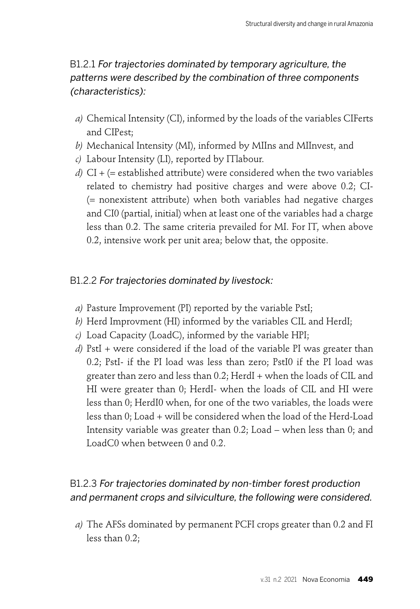## B1.2.1 For trajectories dominated by temporary agriculture, the patterns were described by the combination of three components (characteristics):

- *a)* Chemical Intensity (CI), informed by the loads of the variables CIFerts and CIPest;
- *b)* Mechanical Intensity (MI), informed by MIIns and MIInvest, and
- *c)* Labour Intensity (LI), reported by ITlabour.
- *d)* CI + (= established attribute) were considered when the two variables related to chemistry had positive charges and were above 0.2; CI- (= nonexistent attribute) when both variables had negative charges and CI0 (partial, initial) when at least one of the variables had a charge less than 0.2. The same criteria prevailed for MI. For IT, when above 0.2, intensive work per unit area; below that, the opposite.

#### B1.2.2 For trajectories dominated by livestock:

- *a)* Pasture Improvement (PI) reported by the variable PstI;
- *b)* Herd Improvment (HI) informed by the variables CIL and HerdI;
- *c)* Load Capacity (LoadC), informed by the variable HPI;
- *d)* PstI + were considered if the load of the variable PI was greater than 0.2; PstI- if the PI load was less than zero; PstI0 if the PI load was greater than zero and less than 0.2; HerdI + when the loads of CIL and HI were greater than 0; HerdI- when the loads of CIL and HI were less than 0; HerdI0 when, for one of the two variables, the loads were less than 0; Load + will be considered when the load of the Herd-Load Intensity variable was greater than 0.2; Load – when less than 0; and LoadC0 when between 0 and 0.2.

## B1.2.3 For trajectories dominated by non-timber forest production and permanent crops and silviculture, the following were considered.

*a)* The AFSs dominated by permanent PCFI crops greater than 0.2 and FI less than 0.2;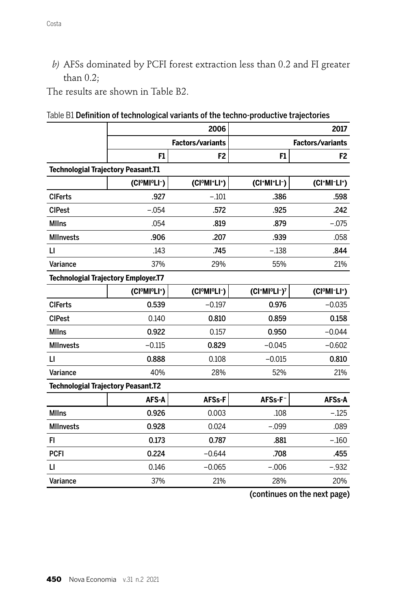*b)* AFSs dominated by PCFI forest extraction less than 0.2 and FI greater than 0.2;

The results are shown in Table B2.

|  | Table B1 Definition of technological variants of the techno-productive trajectories |  |  |  |
|--|-------------------------------------------------------------------------------------|--|--|--|
|  |                                                                                     |  |  |  |

|                                           |                                                    | 2006                    |                | 2017                                               |
|-------------------------------------------|----------------------------------------------------|-------------------------|----------------|----------------------------------------------------|
|                                           |                                                    | <b>Factors/variants</b> |                | <b>Factors/variants</b>                            |
|                                           | F1                                                 | F <sub>2</sub>          | F <sub>1</sub> | F <sub>2</sub>                                     |
| <b>Technologial Trajectory Peasant.T1</b> |                                                    |                         |                |                                                    |
|                                           | (CIºMIºLI-)                                        | (CIºMI+LI+)             | (CI+MI+LI-)    | $(Cl^+MI^-LI^+)$                                   |
| <b>CIFerts</b>                            | .927                                               | $-.101$                 | .386           | .598                                               |
| <b>CIPest</b>                             | $-.054$                                            | .572                    | .925           | .242                                               |
| <b>MIIns</b>                              | .054                                               | .819                    | .879           | $-.075$                                            |
| <b>MIInvests</b>                          | .906                                               | .207                    | .939           | .058                                               |
| $\mathsf{L}$                              | .143                                               | .745                    | $-.138$        | .844                                               |
| Variance                                  | 37%                                                | 29%                     | 55%            | 21%                                                |
|                                           | <b>Technologial Trajectory Employer.T7</b>         |                         |                |                                                    |
|                                           | (CI <sup>O</sup> MI <sup>O</sup> LI <sup>+</sup> ) | (CIºMIºLI-)             | (CI+MIºLI-)7   | (CI <sup>O</sup> MI <sup>-</sup> LI <sup>+</sup> ) |
| <b>CIFerts</b>                            | 0.539                                              | $-0.197$                | 0.976          | $-0.035$                                           |
| <b>CIPest</b>                             | 0.140                                              | 0.810                   | 0.859          | 0.158                                              |
| <b>MIIns</b>                              | 0.922                                              | 0.157                   | 0.950          | $-0.044$                                           |
| <b>MIInvests</b>                          | $-0.115$                                           | 0.829                   | $-0.045$       | $-0.602$                                           |
| $\mathsf{L}$                              | 0.888                                              | 0.108                   | $-0.015$       | 0.810                                              |
| Variance                                  | 40%                                                | 28%                     | 52%            | 21%                                                |
| <b>Technologial Trajectory Peasant.T2</b> |                                                    |                         |                |                                                    |
|                                           | AFS-A                                              | AFSs-F                  | AFSs-F-        | AFSs-A                                             |
| <b>MIIns</b>                              | 0.926                                              | 0.003                   | .108           | $-.125$                                            |
| <b>MIInvests</b>                          | 0.928                                              | 0.024                   | $-.099$        | .089                                               |
| FI                                        | 0.173                                              | 0.787                   | .881           | $-.160$                                            |
| <b>PCFI</b>                               | 0.224                                              | $-0.644$                | .708           | .455                                               |
| $\mathsf{L}$                              | 0.146                                              | $-0.065$                | $-.006$        | $-.932$                                            |
| Variance                                  | 37%                                                | 21%                     | 28%            | 20%                                                |

(continues on the next page)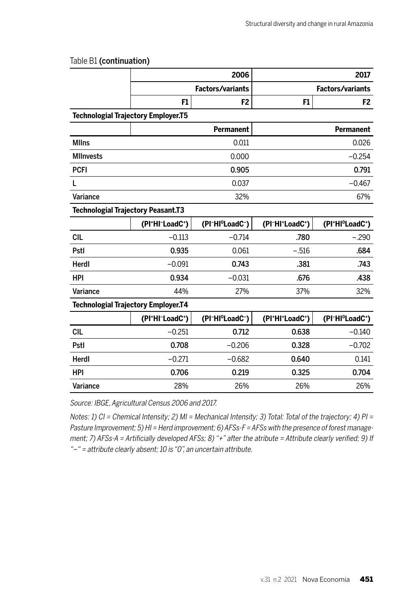|                                            |                | 2006                        |                | 2017                        |
|--------------------------------------------|----------------|-----------------------------|----------------|-----------------------------|
|                                            |                | <b>Factors/variants</b>     |                | <b>Factors/variants</b>     |
|                                            | F1             | F <sub>2</sub>              | F <sub>1</sub> | F <sub>2</sub>              |
| <b>Technologial Trajectory Employer.T5</b> |                |                             |                |                             |
|                                            |                | <b>Permanent</b>            |                | Permanent                   |
| <b>Mllns</b>                               |                | 0.011                       |                | 0.026                       |
| <b>MIInvests</b>                           |                | 0.000                       |                | $-0.254$                    |
| <b>PCFI</b>                                |                | 0.905                       |                | 0.791                       |
| L                                          |                | 0.037                       |                | $-0.467$                    |
| Variance                                   |                | 32%                         |                | 67%                         |
| <b>Technologial Trajectory Peasant.T3</b>  |                |                             |                |                             |
|                                            | (PI+HI-LoadC+) | (PI-HI <sup>o</sup> LoadC-) | (PI-HI+LoadC+) | (PI+HI <sup>o</sup> LoadC+) |
| <b>CIL</b>                                 | $-0.113$       | $-0.714$                    | .780           | $-.290$                     |
| Pstl                                       | 0.935          | 0.061                       | $-.516$        | .684                        |
| Herdl                                      | $-0.091$       | 0.743                       | .381           | .743                        |
| HPI                                        | 0.934          | $-0.031$                    | .676           | .438                        |
| Variance                                   | 44%            | 27%                         | 37%            | 32%                         |
| <b>Technologial Trajectory Employer.T4</b> |                |                             |                |                             |
|                                            | (PI+HI-LoadC+) | (PI-HI <sup>o</sup> LoadC-) | (PI+HI+LoadC+) | (PI-HI <sup>o</sup> LoadC+) |
| <b>CIL</b>                                 | $-0.251$       | 0.712                       | 0.638          | $-0.140$                    |
| Pstl                                       | 0.708          | $-0.206$                    | 0.328          | $-0.702$                    |
| Herdl                                      | $-0.271$       | $-0.682$                    | 0.640          | 0.141                       |
| HPI                                        | 0.706          | 0.219                       | 0.325          | 0.704                       |
| Variance                                   | 28%            | 26%                         | 26%            | 26%                         |

#### Table B1 (continuation)

Source: IBGE, Agricultural Census 2006 and 2017.

Notes: 1) CI = Chemical Intensity; 2) MI = Mechanical Intensity; 3) Total: Total of the trajectory; 4) PI = Pasture Improvement; 5) HI = Herd improvement; 6) AFSs-F = AFSs with the presence of forest management; 7) AFSs-A = Artificially developed AFSs; 8) "+" after the atribute = Attribute clearly verified; 9) If "–" = attribute clearly absent; 10 is "0", an uncertain attribute.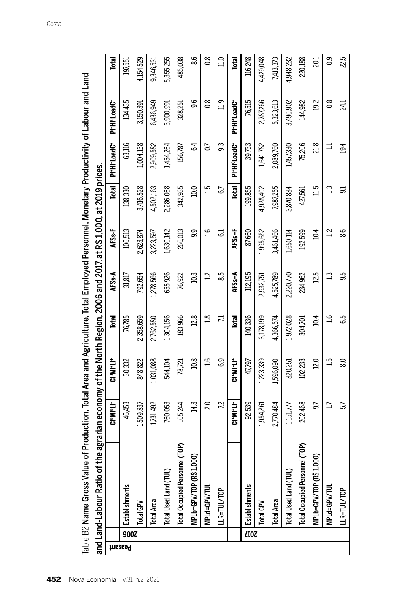|         |      | o of the agrarian economy of the North Region, 2006 and 2017, at R\$ 1,000, at 2019 prices.<br>and Land-Labour Rati<br>22 March 1921 - 2022 |                 |                |                |                    |           |           |                                                   |                          |                  |
|---------|------|---------------------------------------------------------------------------------------------------------------------------------------------|-----------------|----------------|----------------|--------------------|-----------|-----------|---------------------------------------------------|--------------------------|------------------|
|         |      |                                                                                                                                             | CloMol7         | <b>CleMat1</b> | Total          | AFSs-A             | AFSs-F    | Total     | PI-H-Load <sup>c-</sup>                           | PI-HI <sup>o</sup> loadC | Total            |
| Peasant | 900Z | Establishments                                                                                                                              | 46,453          | 30,332         | 76,785         | 31,817             | 106,513   | 138,330   | 63,116                                            | 134,435                  | 197,551          |
|         |      | Total GPV                                                                                                                                   | 1,509,837       | 848,822        | 2,358,659      | 792,654            | 2,623,874 | 3,416,528 | 1,004,138                                         | 3,150,391                | 4,154,529        |
|         |      | <b>Total Area</b>                                                                                                                           | 1,731,492       | 1,031,088      | 2,762,580      | 1,278,566          | 3,223,597 | 4,502,163 | 2,909,582                                         | 6,436,949                | 9,346,531        |
|         |      | Total Used Land                                                                                                                             | 760,053         | 544,104        | 1,304,156      | 655,926            | 1,630,142 | 2,286,068 | 1,454,264                                         | 3,900,991                | 5,355,255        |
|         |      | Total Occupied Personnel (TOP)                                                                                                              | 105,244         | 78,721         | 183,966        | 76,922             | 266,013   | 342,935   | 156,787                                           | 328,251                  | 485,038          |
|         |      | R\$1.000)<br>MPLb=GPV/TOP                                                                                                                   | 14.3            | 10.8           | 12.8           | 10.3               | 9.9       | 10.0      | 64                                                | 96                       | 8.6              |
|         |      | <b>MPLd=GPV/TUL</b>                                                                                                                         | 20              | <u>م:</u>      | $\frac{8}{10}$ | $\overline{12}$    | ݠ         | 51        | G                                                 | 8s                       | $\frac{8}{2}$    |
|         |      | <b>IR-TUL/TOP</b>                                                                                                                           | 7.2             | 6.9            | 11             | 8.5                | ಡ         | 67        | ္သ                                                | $\frac{1}{2}$            | 11.0             |
|         |      |                                                                                                                                             | <b>CI-MI+LI</b> | キマルカ           | <b>Total</b>   | AFS <sub>S-A</sub> | $45s +$   | Total     | PI <sup>+</sup> H <sup>o</sup> Load <sup>C+</sup> | <b>PI-HI+LoadC</b>       | Total            |
|         | ZTOZ | Establishments                                                                                                                              | 92,539          | 47,797         | 140,336        | 112,195            | 87,660    | 199,855   | 39,733                                            | 76,515                   | 116,248          |
|         |      | <b>Total GPV</b>                                                                                                                            | 1,954,861       | 1,223,339      | 3,178,199      | 2,932,751          | 1,995,652 | 4,928,402 | 1,641,782                                         | 2,787,266                | 4,429,048        |
|         |      | <b>Total Area</b>                                                                                                                           | 2,770,484       | ,596,090       | 4,366,574      | 4,525,789          | 3,461,466 | 7,987,255 | 2,089,760                                         | 5,323,613                | 7,413,373        |
|         |      | ≣<br>Total Used Land                                                                                                                        | 1,151,777       | 820,251        | 1,972,028      | 2,220,770          | 1,650,114 | 3,870,884 | 1,457,330                                         | 3,490,902                | 4,948,232        |
|         |      | rsonnel (TOP)<br>Total Occupied Pe                                                                                                          | 202,468         | 102,233        | 304,701        | 234,962            | 192,599   | 427,561   | 75,206                                            | 144,982                  | 220,188          |
|         |      | R\$1.000)<br>MPLb=GPV/TOP                                                                                                                   | 9.7             | 12.0           | 10.4           | 12.5               | 10.4      | 11.5      | 218                                               | 19.2                     | 20.1             |
|         |      | VIPLd=GPV/TUL                                                                                                                               | $\Box$          | 51             | ݠ              | $\Xi$              | 12        | $\Xi$     | $\Xi$                                             | $\frac{8}{2}$            | $\overline{0}$ . |
|         |      | <b>LLR=TUL/TOP</b>                                                                                                                          | 57              | $\frac{8}{2}$  | 6.5            | 9.5                | 8.6       | 51        | 19.4                                              | 24.1                     | 22.5             |

Table B2 Name Gross Value of Production. Total Area and Agriculture. Total Employed Personnel. Monetary Productivity of Labour and Land Table B2 Name Gross Value of Production, Total Area and Agriculture, Total Employed Personnel, Monetary Productivity of Labour and Land